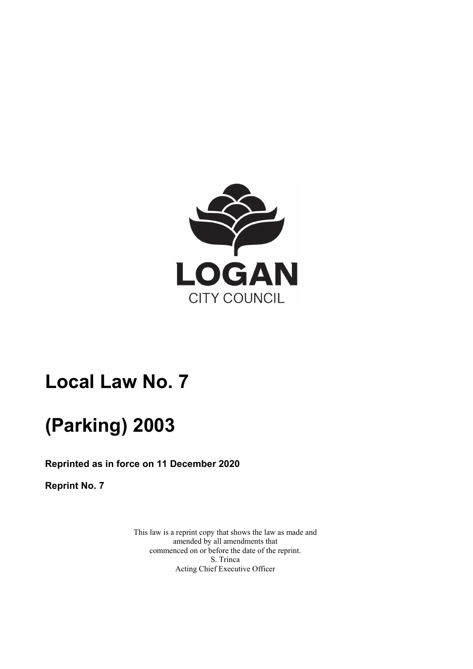

# **Local Law No. 7**

# **(Parking) 2003**

**Reprinted as in force on 11 December 2020** 

**Reprint No. 7** 

This law is a reprint copy that shows the law as made and amended by all amendments that commenced on or before the date of the reprint. S. Trinca Acting Chief Executive Officer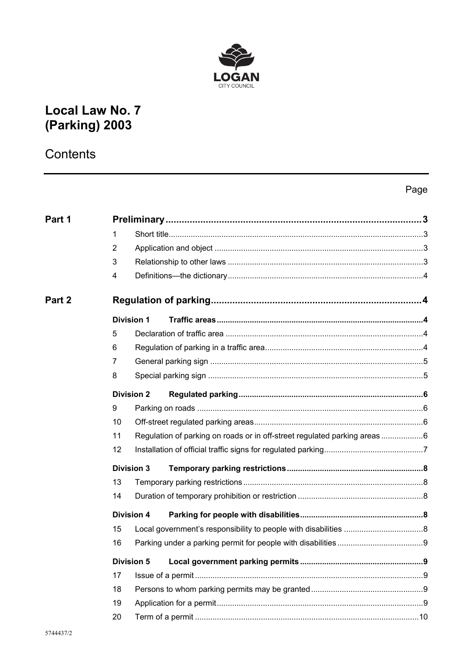

## **Local Law No. 7** (Parking) 2003

## Contents

## Page

| Part 1 |                |                   |                                                                          |  |
|--------|----------------|-------------------|--------------------------------------------------------------------------|--|
|        | 1              |                   |                                                                          |  |
|        | $\overline{2}$ |                   |                                                                          |  |
|        | 3              |                   |                                                                          |  |
|        | 4              |                   |                                                                          |  |
| Part 2 |                |                   |                                                                          |  |
|        |                | <b>Division 1</b> |                                                                          |  |
|        | 5              |                   |                                                                          |  |
|        | 6              |                   |                                                                          |  |
|        | 7              |                   |                                                                          |  |
|        | 8              |                   |                                                                          |  |
|        |                | <b>Division 2</b> |                                                                          |  |
|        | 9              |                   |                                                                          |  |
|        | 10             |                   |                                                                          |  |
|        | 11             |                   | Regulation of parking on roads or in off-street regulated parking areas6 |  |
|        | 12             |                   |                                                                          |  |
|        |                | <b>Division 3</b> |                                                                          |  |
|        | 13             |                   |                                                                          |  |
|        | 14             |                   |                                                                          |  |
|        |                | <b>Division 4</b> |                                                                          |  |
|        | 15             |                   |                                                                          |  |
|        | 16             |                   |                                                                          |  |
|        |                | <b>Division 5</b> |                                                                          |  |
|        | 17             |                   |                                                                          |  |
|        | 18             |                   |                                                                          |  |
|        | 19             |                   |                                                                          |  |
|        | 20             |                   |                                                                          |  |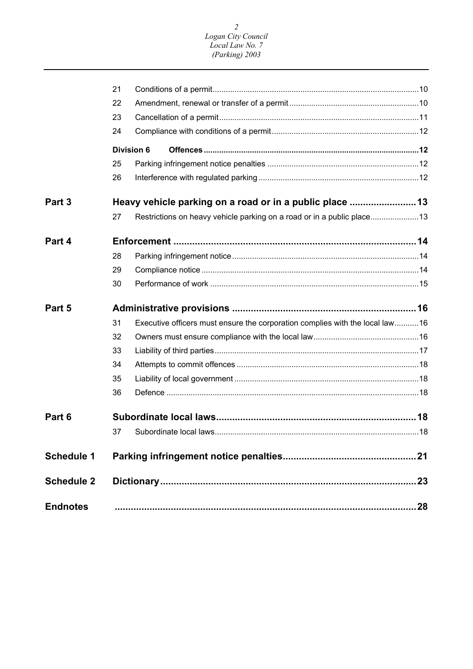| <b>Endnotes</b>   |    |                                                                              | 28 |
|-------------------|----|------------------------------------------------------------------------------|----|
| <b>Schedule 2</b> |    |                                                                              |    |
| <b>Schedule 1</b> |    |                                                                              | 21 |
|                   |    |                                                                              |    |
| Part 6            |    |                                                                              |    |
|                   |    |                                                                              |    |
|                   | 36 |                                                                              |    |
|                   | 35 |                                                                              |    |
|                   | 34 |                                                                              |    |
|                   | 33 |                                                                              |    |
|                   | 32 |                                                                              |    |
|                   | 31 | Executive officers must ensure the corporation complies with the local law16 |    |
| Part 5            |    |                                                                              |    |
|                   | 30 |                                                                              |    |
|                   | 29 |                                                                              |    |
|                   | 28 |                                                                              |    |
| Part 4            |    |                                                                              |    |
|                   | 27 | Restrictions on heavy vehicle parking on a road or in a public place13       |    |
| Part 3            |    |                                                                              |    |
|                   | 26 |                                                                              |    |
|                   | 25 |                                                                              |    |
|                   |    | <b>Division 6</b>                                                            |    |
|                   | 24 |                                                                              |    |
|                   | 23 |                                                                              |    |
|                   | 22 |                                                                              |    |
|                   | 21 |                                                                              |    |
|                   |    |                                                                              |    |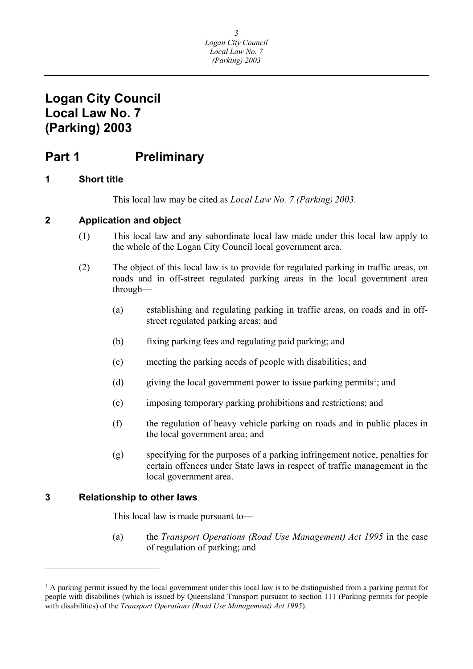## <span id="page-3-0"></span>**Part 1** Preliminary

#### **1 Short title**

This local law may be cited as *Local Law No. 7 (Parking) 2003*.

#### **2 Application and object**

- (1) This local law and any subordinate local law made under this local law apply to the whole of the Logan City Council local government area.
- (2) The object of this local law is to provide for regulated parking in traffic areas, on roads and in off-street regulated parking areas in the local government area through—
	- (a) establishing and regulating parking in traffic areas, on roads and in offstreet regulated parking areas; and
	- (b) fixing parking fees and regulating paid parking; and
	- (c) meeting the parking needs of people with disabilities; and
	- (d) giving the local government power to issue parking permits<sup>1</sup>; and
	- (e) imposing temporary parking prohibitions and restrictions; and
	- (f) the regulation of heavy vehicle parking on roads and in public places in the local government area; and
	- (g) specifying for the purposes of a parking infringement notice, penalties for certain offences under State laws in respect of traffic management in the local government area.

#### **3 Relationship to other laws**

 $\overline{a}$ 

This local law is made pursuant to—

(a) the *Transport Operations (Road Use Management) Act 1995* in the case of regulation of parking; and

<sup>&</sup>lt;sup>1</sup> A parking permit issued by the local government under this local law is to be distinguished from a parking permit for people with disabilities (which is issued by Queensland Transport pursuant to section 111 (Parking permits for people with disabilities) of the *Transport Operations (Road Use Management) Act 1995*).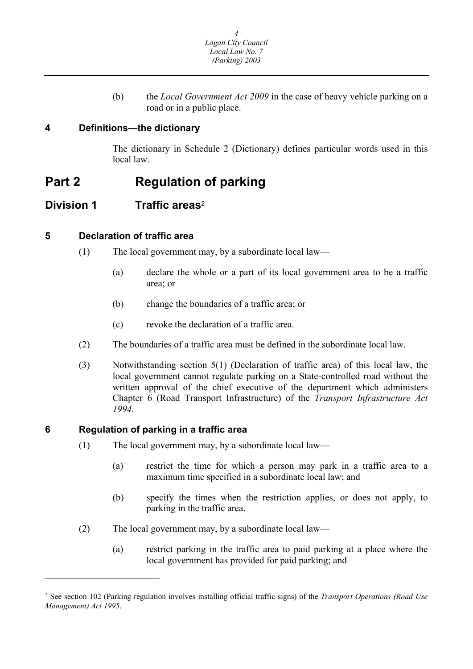(b) the *Local Government Act 2009* in the case of heavy vehicle parking on a road or in a public place.

### <span id="page-4-0"></span>**4 Definitions—the dictionary**

The dictionary in Schedule 2 (Dictionary) defines particular words used in this local law.

## **Part 2 Regulation of parking**

### **Division 1 Traffic areas**<sup>2</sup>

#### **5 Declaration of traffic area**

- (1) The local government may, by a subordinate local law—
	- (a) declare the whole or a part of its local government area to be a traffic area; or
	- (b) change the boundaries of a traffic area; or
	- (c) revoke the declaration of a traffic area.
- (2) The boundaries of a traffic area must be defined in the subordinate local law.
- (3) Notwithstanding section 5(1) (Declaration of traffic area) of this local law, the local government cannot regulate parking on a State-controlled road without the written approval of the chief executive of the department which administers Chapter 6 (Road Transport Infrastructure) of the *Transport Infrastructure Act 1994*.

#### **6 Regulation of parking in a traffic area**

 $\overline{a}$ 

- (1) The local government may, by a subordinate local law—
	- (a) restrict the time for which a person may park in a traffic area to a maximum time specified in a subordinate local law; and
	- (b) specify the times when the restriction applies, or does not apply, to parking in the traffic area.
- (2) The local government may, by a subordinate local law—
	- (a) restrict parking in the traffic area to paid parking at a place where the local government has provided for paid parking; and

<sup>2</sup> See section 102 (Parking regulation involves installing official traffic signs) of the *Transport Operations (Road Use Management) Act 1995*.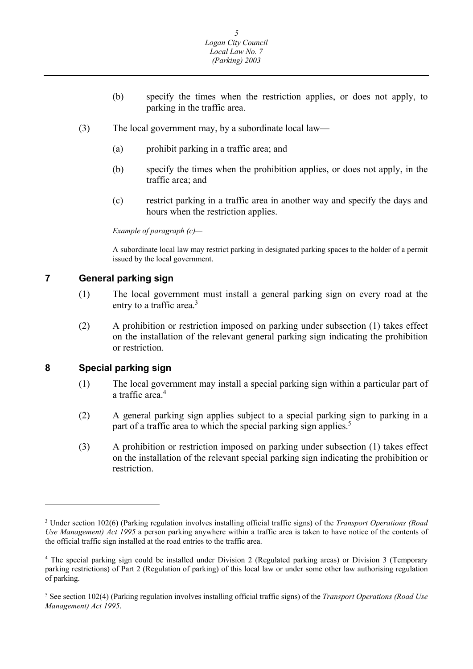- <span id="page-5-0"></span>(b) specify the times when the restriction applies, or does not apply, to parking in the traffic area.
- (3) The local government may, by a subordinate local law—
	- (a) prohibit parking in a traffic area; and
	- (b) specify the times when the prohibition applies, or does not apply, in the traffic area; and
	- (c) restrict parking in a traffic area in another way and specify the days and hours when the restriction applies.

 *Example of paragraph (c)—* 

A subordinate local law may restrict parking in designated parking spaces to the holder of a permit issued by the local government.

#### **7 General parking sign**

- (1) The local government must install a general parking sign on every road at the entry to a traffic area.<sup>3</sup>
- (2) A prohibition or restriction imposed on parking under subsection (1) takes effect on the installation of the relevant general parking sign indicating the prohibition or restriction.

#### **8 Special parking sign**

 $\overline{a}$ 

- (1) The local government may install a special parking sign within a particular part of a traffic area.<sup>4</sup>
- (2) A general parking sign applies subject to a special parking sign to parking in a part of a traffic area to which the special parking sign applies.<sup>5</sup>
- (3) A prohibition or restriction imposed on parking under subsection (1) takes effect on the installation of the relevant special parking sign indicating the prohibition or restriction.

 *Use Management) Act 1995* a person parking anywhere within a traffic area is taken to have notice of the contents of 3 Under section 102(6) (Parking regulation involves installing official traffic signs) of the *Transport Operations (Road*  the official traffic sign installed at the road entries to the traffic area.

<sup>4</sup> The special parking sign could be installed under Division 2 (Regulated parking areas) or Division 3 (Temporary parking restrictions) of Part 2 (Regulation of parking) of this local law or under some other law authorising regulation of parking.

<sup>5</sup> See section 102(4) (Parking regulation involves installing official traffic signs) of the *Transport Operations (Road Use Management) Act 1995*.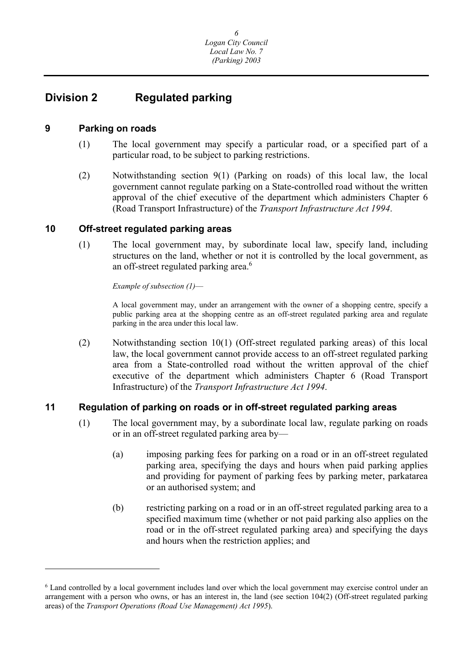### <span id="page-6-0"></span>**Division 2 Regulated parking**

#### **9 Parking on roads**

 $\overline{a}$ 

- (1) The local government may specify a particular road, or a specified part of a particular road, to be subject to parking restrictions.
- (2) Notwithstanding section 9(1) (Parking on roads) of this local law, the local government cannot regulate parking on a State-controlled road without the written approval of the chief executive of the department which administers Chapter 6 (Road Transport Infrastructure) of the *Transport Infrastructure Act 1994*.

#### **10 Off-street regulated parking areas**

(1) The local government may, by subordinate local law, specify land, including structures on the land, whether or not it is controlled by the local government, as an off-street regulated parking area.<sup>6</sup>

*Example of subsection (1)*—

A local government may, under an arrangement with the owner of a shopping centre, specify a public parking area at the shopping centre as an off-street regulated parking area and regulate parking in the area under this local law.

(2) Notwithstanding section 10(1) (Off-street regulated parking areas) of this local law, the local government cannot provide access to an off-street regulated parking area from a State-controlled road without the written approval of the chief executive of the department which administers Chapter 6 (Road Transport Infrastructure) of the *Transport Infrastructure Act 1994*.

#### **11 Regulation of parking on roads or in off-street regulated parking areas**

- (1) The local government may, by a subordinate local law, regulate parking on roads or in an off-street regulated parking area by—
	- (a) imposing parking fees for parking on a road or in an off-street regulated parking area, specifying the days and hours when paid parking applies and providing for payment of parking fees by parking meter, parkatarea or an authorised system; and
	- (b) restricting parking on a road or in an off-street regulated parking area to a specified maximum time (whether or not paid parking also applies on the road or in the off-street regulated parking area) and specifying the days and hours when the restriction applies; and

<sup>&</sup>lt;sup>6</sup> Land controlled by a local government includes land over which the local government may exercise control under an arrangement with a person who owns, or has an interest in, the land (see section 104(2) (Off-street regulated parking areas) of the *Transport Operations (Road Use Management) Act 1995*).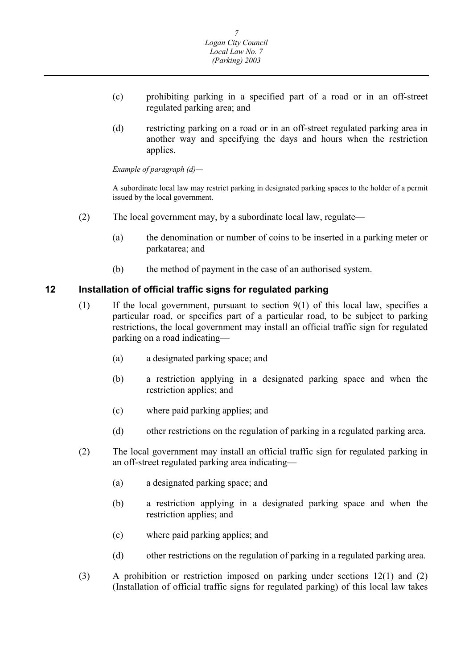- <span id="page-7-0"></span>(c) prohibiting parking in a specified part of a road or in an off-street regulated parking area; and
- (d) restricting parking on a road or in an off-street regulated parking area in another way and specifying the days and hours when the restriction applies.

 *Example of paragraph (d)—* 

A subordinate local law may restrict parking in designated parking spaces to the holder of a permit issued by the local government.

- (2) The local government may, by a subordinate local law, regulate—
	- (a) the denomination or number of coins to be inserted in a parking meter or parkatarea; and
	- (b) the method of payment in the case of an authorised system.

#### **12 Installation of official traffic signs for regulated parking**

- (1) If the local government, pursuant to section 9(1) of this local law, specifies a particular road, or specifies part of a particular road, to be subject to parking restrictions, the local government may install an official traffic sign for regulated parking on a road indicating—
	- (a) a designated parking space; and
	- (b) a restriction applying in a designated parking space and when the restriction applies; and
	- (c) where paid parking applies; and
	- (d) other restrictions on the regulation of parking in a regulated parking area.
- (2) The local government may install an official traffic sign for regulated parking in an off-street regulated parking area indicating—
	- (a) a designated parking space; and
	- (b) a restriction applying in a designated parking space and when the restriction applies; and
	- (c) where paid parking applies; and
	- (d) other restrictions on the regulation of parking in a regulated parking area.
- (3) A prohibition or restriction imposed on parking under sections 12(1) and (2) (Installation of official traffic signs for regulated parking) of this local law takes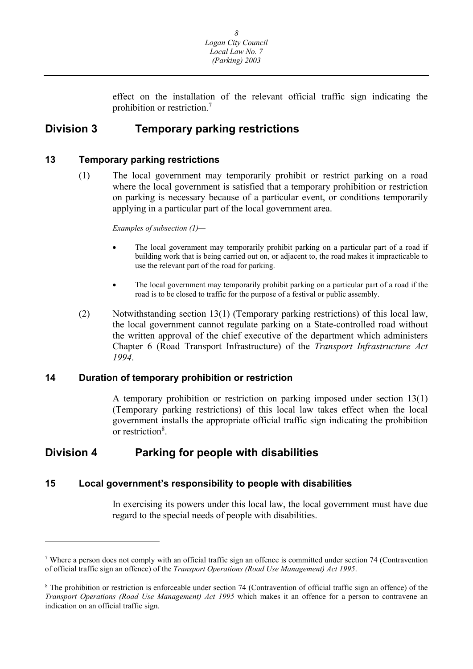

effect on the installation of the relevant official traffic sign indicating the prohibition or restriction.7

### <span id="page-8-0"></span>**Division 3 Temporary parking restrictions**

#### **13 Temporary parking restrictions**

(1) The local government may temporarily prohibit or restrict parking on a road where the local government is satisfied that a temporary prohibition or restriction on parking is necessary because of a particular event, or conditions temporarily applying in a particular part of the local government area.

*Examples of subsection (1)—* 

- building work that is being carried out on, or adjacent to, the road makes it impracticable to The local government may temporarily prohibit parking on a particular part of a road if use the relevant part of the road for parking.
- The local government may temporarily prohibit parking on a particular part of a road if the road is to be closed to traffic for the purpose of a festival or public assembly.
- (2) Notwithstanding section 13(1) (Temporary parking restrictions) of this local law, the local government cannot regulate parking on a State-controlled road without the written approval of the chief executive of the department which administers Chapter 6 (Road Transport Infrastructure) of the *Transport Infrastructure Act 1994*.

#### **14 Duration of temporary prohibition or restriction**

A temporary prohibition or restriction on parking imposed under section 13(1) (Temporary parking restrictions) of this local law takes effect when the local government installs the appropriate official traffic sign indicating the prohibition or restriction<sup>8</sup>.

### **Division 4 Parking for people with disabilities**

 $\overline{a}$ 

#### **15 Local government's responsibility to people with disabilities**

In exercising its powers under this local law, the local government must have due regard to the special needs of people with disabilities.

 of official traffic sign an offence) of the *Transport Operations (Road Use Management) Act 1995*. 7 Where a person does not comply with an official traffic sign an offence is committed under section 74 (Contravention

<sup>&</sup>lt;sup>8</sup> The prohibition or restriction is enforceable under section 74 (Contravention of official traffic sign an offence) of the *Transport Operations (Road Use Management) Act 1995* which makes it an offence for a person to contravene an indication on an official traffic sign.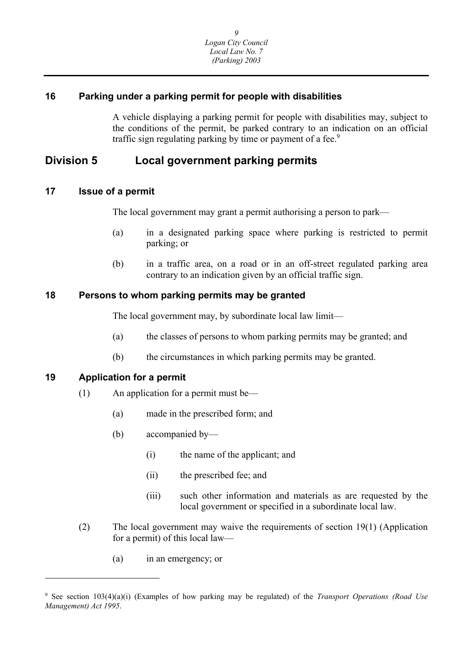#### <span id="page-9-0"></span>**16 Parking under a parking permit for people with disabilities**

A vehicle displaying a parking permit for people with disabilities may, subject to the conditions of the permit, be parked contrary to an indication on an official traffic sign regulating parking by time or payment of a fee.<sup>9</sup>

### **Division 5 Local government parking permits**

#### **17 Issue of a permit**

The local government may grant a permit authorising a person to park—

- (a) in a designated parking space where parking is restricted to permit parking; or
- (b) in a traffic area, on a road or in an off-street regulated parking area contrary to an indication given by an official traffic sign.

#### **18 Persons to whom parking permits may be granted**

The local government may, by subordinate local law limit—

- (a) the classes of persons to whom parking permits may be granted; and
- (b) the circumstances in which parking permits may be granted.

#### **19 Application for a permit**

 $\overline{\phantom{a}}$ 

- (1) An application for a permit must be—
	- (a) made in the prescribed form; and
	- (b) accompanied by—
		- (i) the name of the applicant; and
		- (ii) the prescribed fee; and
		- (iii) such other information and materials as are requested by the local government or specified in a subordinate local law.
- (2) The local government may waive the requirements of section 19(1) (Application for a permit) of this local law—
	- (a) in an emergency; or

<sup>9</sup> See section 103(4)(a)(i) (Examples of how parking may be regulated) of the *Transport Operations (Road Use Management) Act 1995*.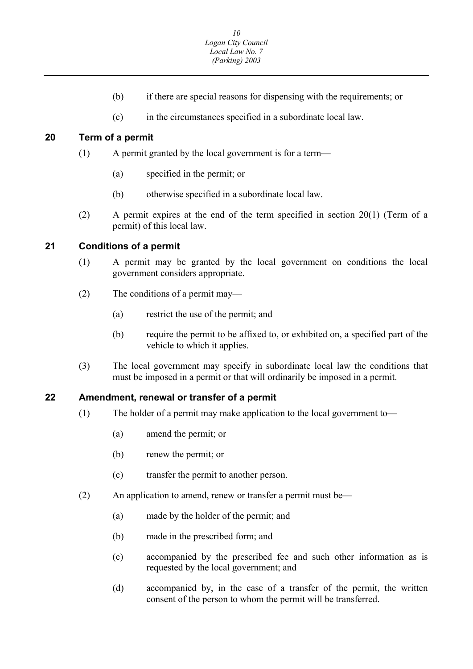- (b) if there are special reasons for dispensing with the requirements; or
- (c) in the circumstances specified in a subordinate local law.

#### <span id="page-10-0"></span>**20 Term of a permit**

- (1) A permit granted by the local government is for a term—
	- (a) specified in the permit; or
	- (b) otherwise specified in a subordinate local law.
- (2) A permit expires at the end of the term specified in section 20(1) (Term of a permit) of this local law.

#### **21 Conditions of a permit**

- (1) A permit may be granted by the local government on conditions the local government considers appropriate.
- (2) The conditions of a permit may—
	- (a) restrict the use of the permit; and
	- (b) require the permit to be affixed to, or exhibited on, a specified part of the vehicle to which it applies.
- (3) The local government may specify in subordinate local law the conditions that must be imposed in a permit or that will ordinarily be imposed in a permit.

#### **22 Amendment, renewal or transfer of a permit**

- (1) The holder of a permit may make application to the local government to—
	- (a) amend the permit; or
	- (b) renew the permit; or
	- (c) transfer the permit to another person.
- (2) An application to amend, renew or transfer a permit must be—
	- (a) made by the holder of the permit; and
	- (b) made in the prescribed form; and
	- (c) accompanied by the prescribed fee and such other information as is requested by the local government; and
	- (d) accompanied by, in the case of a transfer of the permit, the written consent of the person to whom the permit will be transferred.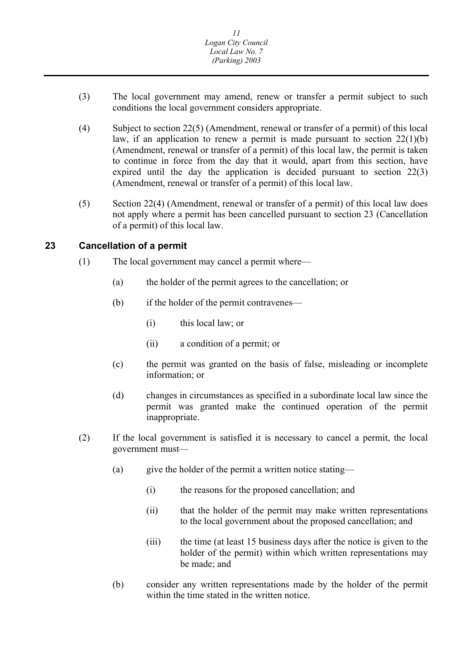- <span id="page-11-0"></span>(3) The local government may amend, renew or transfer a permit subject to such conditions the local government considers appropriate.
- (4) Subject to section 22(5) (Amendment, renewal or transfer of a permit) of this local law, if an application to renew a permit is made pursuant to section  $22(1)(b)$ (Amendment, renewal or transfer of a permit) of this local law, the permit is taken to continue in force from the day that it would, apart from this section, have expired until the day the application is decided pursuant to section 22(3) (Amendment, renewal or transfer of a permit) of this local law.
- (5) Section 22(4) (Amendment, renewal or transfer of a permit) of this local law does not apply where a permit has been cancelled pursuant to section 23 (Cancellation of a permit) of this local law.

#### **23 Cancellation of a permit**

- (1) The local government may cancel a permit where—
	- (a) the holder of the permit agrees to the cancellation; or
	- (b) if the holder of the permit contravenes—
		- (i) this local law; or
		- (ii) a condition of a permit; or
	- (c) the permit was granted on the basis of false, misleading or incomplete information; or
	- (d) changes in circumstances as specified in a subordinate local law since the permit was granted make the continued operation of the permit inappropriate.
- (2) If the local government is satisfied it is necessary to cancel a permit, the local government must—
	- (a) give the holder of the permit a written notice stating—
		- (i) the reasons for the proposed cancellation; and
		- (ii) that the holder of the permit may make written representations to the local government about the proposed cancellation; and
		- (iii) the time (at least 15 business days after the notice is given to the holder of the permit) within which written representations may be made; and
	- (b) consider any written representations made by the holder of the permit within the time stated in the written notice.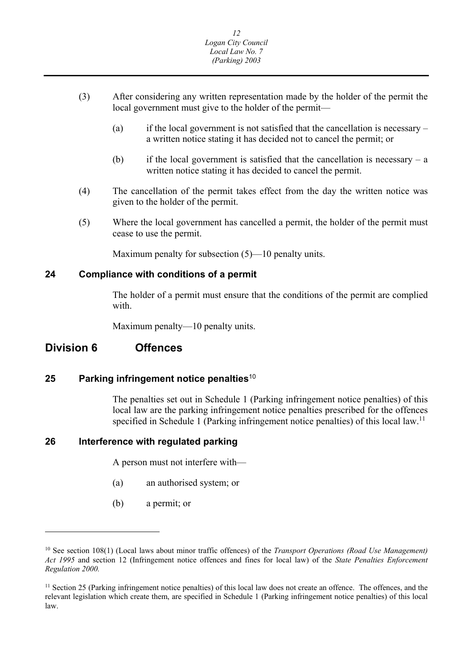- <span id="page-12-0"></span>(3) After considering any written representation made by the holder of the permit the local government must give to the holder of the permit—
	- (a) if the local government is not satisfied that the cancellation is necessary a written notice stating it has decided not to cancel the permit; or
	- (b) if the local government is satisfied that the cancellation is necessary a written notice stating it has decided to cancel the permit.
- (4) The cancellation of the permit takes effect from the day the written notice was given to the holder of the permit.
- (5) Where the local government has cancelled a permit, the holder of the permit must cease to use the permit.

Maximum penalty for subsection  $(5)$ —10 penalty units.

#### **24 Compliance with conditions of a permit**

The holder of a permit must ensure that the conditions of the permit are complied with.

Maximum penalty—10 penalty units.

#### **Division 6 Offences**

 $\overline{\phantom{a}}$ 

#### **25 Parking infringement notice penalties**<sup>10</sup>

The penalties set out in Schedule 1 (Parking infringement notice penalties) of this local law are the parking infringement notice penalties prescribed for the offences specified in Schedule 1 (Parking infringement notice penalties) of this local law.<sup>11</sup>

#### **26 Interference with regulated parking**

A person must not interfere with—

- (a) an authorised system; or
- (b) a permit; or

<sup>10</sup> See section 108(1) (Local laws about minor traffic offences) of the *Transport Operations (Road Use Management) Act 1995* and section 12 (Infringement notice offences and fines for local law) of the *State Penalties Enforcement Regulation 2000.* 

 $11$  Section 25 (Parking infringement notice penalties) of this local law does not create an offence. The offences, and the relevant legislation which create them, are specified in Schedule 1 (Parking infringement notice penalties) of this local law.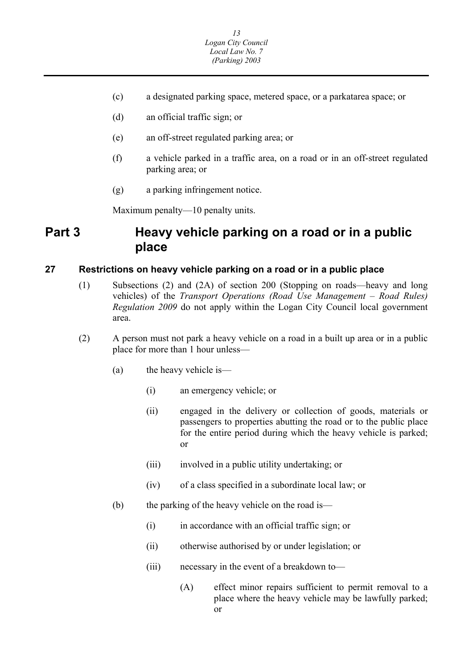- (c) a designated parking space, metered space, or a parkatarea space; or
- (d) an official traffic sign; or
- (e) an off-street regulated parking area; or
- (f) a vehicle parked in a traffic area, on a road or in an off-street regulated parking area; or
- (g) a parking infringement notice.

Maximum penalty—10 penalty units.

## **Part 3 Heavy vehicle parking on a road or in a public place**

#### **27 Restrictions on heavy vehicle parking on a road or in a public place**

- (1) Subsections (2) and (2A) of section 200 (Stopping on roads—heavy and long vehicles) of the *Transport Operations (Road Use Management – Road Rules) Regulation 2009* do not apply within the Logan City Council local government area.
- (2) A person must not park a heavy vehicle on a road in a built up area or in a public place for more than 1 hour unless—
	- (a) the heavy vehicle is—
		- (i) an emergency vehicle; or
		- (ii) engaged in the delivery or collection of goods, materials or passengers to properties abutting the road or to the public place for the entire period during which the heavy vehicle is parked; or
		- (iii) involved in a public utility undertaking; or
		- (iv) of a class specified in a subordinate local law; or
	- (b) the parking of the heavy vehicle on the road is—
		- (i) in accordance with an official traffic sign; or
		- (ii) otherwise authorised by or under legislation; or
		- (iii) necessary in the event of a breakdown to—
			- (A) effect minor repairs sufficient to permit removal to a place where the heavy vehicle may be lawfully parked; or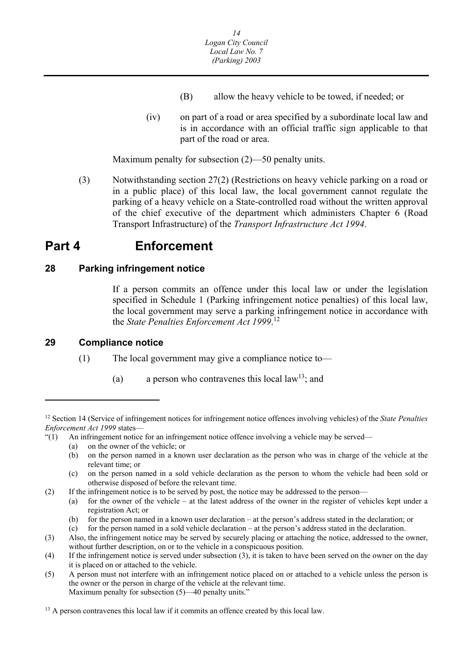- (B) allow the heavy vehicle to be towed, if needed; or
- <span id="page-14-0"></span>(iv) on part of a road or area specified by a subordinate local law and is in accordance with an official traffic sign applicable to that part of the road or area.

Maximum penalty for subsection (2)—50 penalty units.

(3) Notwithstanding section 27(2) (Restrictions on heavy vehicle parking on a road or in a public place) of this local law, the local government cannot regulate the parking of a heavy vehicle on a State-controlled road without the written approval of the chief executive of the department which administers Chapter 6 (Road Transport Infrastructure) of the *Transport Infrastructure Act 1994*.

## **Part 4 Enforcement**

#### **28 Parking infringement notice**

If a person commits an offence under this local law or under the legislation specified in Schedule 1 (Parking infringement notice penalties) of this local law, the local government may serve a parking infringement notice in accordance with the *State Penalties Enforcement Act 1999*. 12

#### **29 Compliance notice**

 $\overline{\phantom{a}}$ 

(1) The local government may give a compliance notice to—

(a) a person who contravenes this local law<sup>13</sup>; and

- "(1) An infringement notice for an infringement notice offence involving a vehicle may be served—
	- (a) on the owner of the vehicle; or
	- (b) on the person named in a known user declaration as the person who was in charge of the vehicle at the relevant time; or
	- (c) on the person named in a sold vehicle declaration as the person to whom the vehicle had been sold or otherwise disposed of before the relevant time.
- (2) If the infringement notice is to be served by post, the notice may be addressed to the person—
	- (a) for the owner of the vehicle at the latest address of the owner in the register of vehicles kept under a registration Act; or
	- (b) for the person named in a known user declaration at the person's address stated in the declaration; or
	- (c) for the person named in a sold vehicle declaration at the person's address stated in the declaration.
- without further description, on or to the vehicle in a conspicuous position. (3) Also, the infringement notice may be served by securely placing or attaching the notice, addressed to the owner,
- (4) If the infringement notice is served under subsection (3), it is taken to have been served on the owner on the day it is placed on or attached to the vehicle.
- Maximum penalty for subsection (5)—40 penalty units." (5) A person must not interfere with an infringement notice placed on or attached to a vehicle unless the person is the owner or the person in charge of the vehicle at the relevant time.

#### <sup>13</sup> A person contravenes this local law if it commits an offence created by this local law.

<sup>12</sup> Section 14 (Service of infringement notices for infringement notice offences involving vehicles) of the *State Penalties Enforcement Act 1999* states—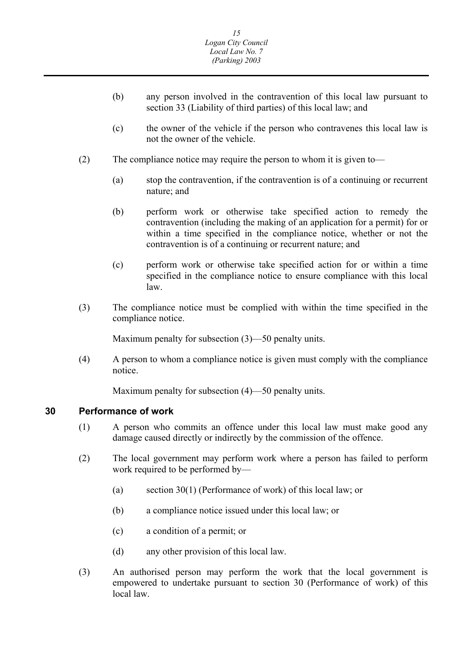- <span id="page-15-0"></span>(b) any person involved in the contravention of this local law pursuant to section 33 (Liability of third parties) of this local law; and
- (c) the owner of the vehicle if the person who contravenes this local law is not the owner of the vehicle.
- (2) The compliance notice may require the person to whom it is given to—
	- (a) stop the contravention, if the contravention is of a continuing or recurrent nature; and
	- (b) perform work or otherwise take specified action to remedy the contravention (including the making of an application for a permit) for or within a time specified in the compliance notice, whether or not the contravention is of a continuing or recurrent nature; and
	- (c) perform work or otherwise take specified action for or within a time specified in the compliance notice to ensure compliance with this local law.
- (3) The compliance notice must be complied with within the time specified in the compliance notice.

Maximum penalty for subsection (3)—50 penalty units.

(4) A person to whom a compliance notice is given must comply with the compliance notice.

Maximum penalty for subsection (4)—50 penalty units.

#### **30 Performance of work**

- (1) A person who commits an offence under this local law must make good any damage caused directly or indirectly by the commission of the offence.
- (2) The local government may perform work where a person has failed to perform work required to be performed by—
	- (a) section 30(1) (Performance of work) of this local law; or
	- (b) a compliance notice issued under this local law; or
	- (c) a condition of a permit; or
	- (d) any other provision of this local law.
- (3) An authorised person may perform the work that the local government is empowered to undertake pursuant to section 30 (Performance of work) of this local law.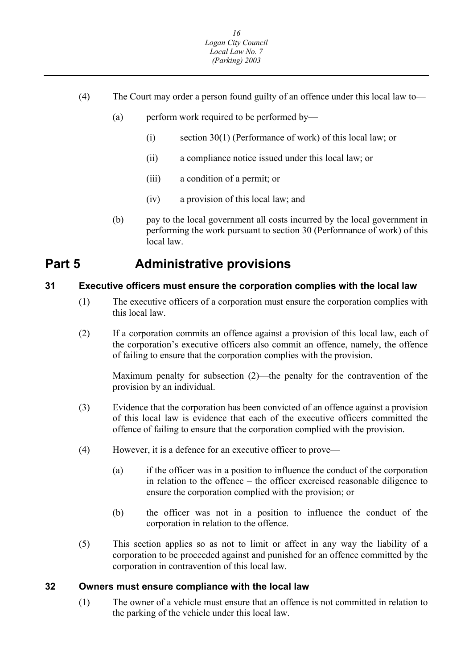- <span id="page-16-0"></span>(4) The Court may order a person found guilty of an offence under this local law to—
	- (a) perform work required to be performed by—
		- (i) section 30(1) (Performance of work) of this local law; or
		- (ii) a compliance notice issued under this local law; or
		- (iii) a condition of a permit; or
		- (iv) a provision of this local law; and
	- (b) pay to the local government all costs incurred by the local government in performing the work pursuant to section 30 (Performance of work) of this local law.

## **Part 5 Administrative provisions**

#### **31 Executive officers must ensure the corporation complies with the local law**

- (1) The executive officers of a corporation must ensure the corporation complies with this local law.
- (2) If a corporation commits an offence against a provision of this local law, each of the corporation's executive officers also commit an offence, namely, the offence of failing to ensure that the corporation complies with the provision.

Maximum penalty for subsection (2)—the penalty for the contravention of the provision by an individual.

- (3) Evidence that the corporation has been convicted of an offence against a provision of this local law is evidence that each of the executive officers committed the offence of failing to ensure that the corporation complied with the provision.
- (4) However, it is a defence for an executive officer to prove—
	- (a) if the officer was in a position to influence the conduct of the corporation in relation to the offence – the officer exercised reasonable diligence to ensure the corporation complied with the provision; or
	- (b) the officer was not in a position to influence the conduct of the corporation in relation to the offence.
- (5) This section applies so as not to limit or affect in any way the liability of a corporation to be proceeded against and punished for an offence committed by the corporation in contravention of this local law.

#### **32 Owners must ensure compliance with the local law**

(1) The owner of a vehicle must ensure that an offence is not committed in relation to the parking of the vehicle under this local law.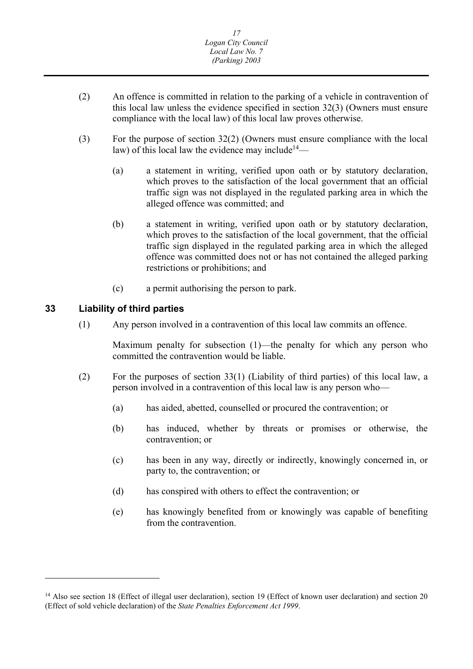- <span id="page-17-0"></span>(2) An offence is committed in relation to the parking of a vehicle in contravention of this local law unless the evidence specified in section 32(3) (Owners must ensure compliance with the local law) of this local law proves otherwise.
- (3) For the purpose of section 32(2) (Owners must ensure compliance with the local law) of this local law the evidence may include<sup>14</sup>—
	- (a) a statement in writing, verified upon oath or by statutory declaration, which proves to the satisfaction of the local government that an official traffic sign was not displayed in the regulated parking area in which the alleged offence was committed; and
	- (b) a statement in writing, verified upon oath or by statutory declaration, which proves to the satisfaction of the local government, that the official traffic sign displayed in the regulated parking area in which the alleged offence was committed does not or has not contained the alleged parking restrictions or prohibitions; and
	- (c) a permit authorising the person to park.

#### **33 Liability of third parties**

 $\overline{a}$ 

(1) Any person involved in a contravention of this local law commits an offence.

Maximum penalty for subsection (1)—the penalty for which any person who committed the contravention would be liable.

- (2) For the purposes of section 33(1) (Liability of third parties) of this local law, a person involved in a contravention of this local law is any person who—
	- (a) has aided, abetted, counselled or procured the contravention; or
	- (b) has induced, whether by threats or promises or otherwise, the contravention; or
	- (c) has been in any way, directly or indirectly, knowingly concerned in, or party to, the contravention; or
	- (d) has conspired with others to effect the contravention; or
	- (e) has knowingly benefited from or knowingly was capable of benefiting from the contravention.

<sup>&</sup>lt;sup>14</sup> Also see section 18 (Effect of illegal user declaration), section 19 (Effect of known user declaration) and section 20 (Effect of sold vehicle declaration) of the *State Penalties Enforcement Act 1999*.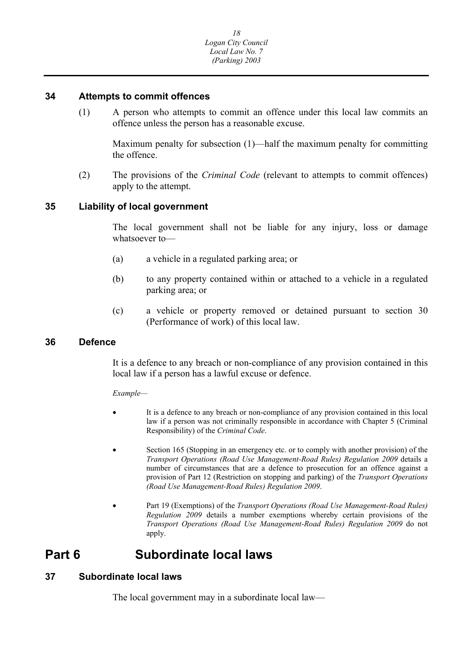#### <span id="page-18-0"></span>**34 Attempts to commit offences**

(1) A person who attempts to commit an offence under this local law commits an offence unless the person has a reasonable excuse.

Maximum penalty for subsection (1)—half the maximum penalty for committing the offence.

(2) The provisions of the *Criminal Code* (relevant to attempts to commit offences) apply to the attempt.

#### **35 Liability of local government**

The local government shall not be liable for any injury, loss or damage whatsoever to—

- (a) a vehicle in a regulated parking area; or
- (b) to any property contained within or attached to a vehicle in a regulated parking area; or
- (c) a vehicle or property removed or detained pursuant to section 30 (Performance of work) of this local law.

#### **36 Defence**

It is a defence to any breach or non-compliance of any provision contained in this local law if a person has a lawful excuse or defence.

*Example—* 

- It is a defence to any breach or non-compliance of any provision contained in this local law if a person was not criminally responsible in accordance with Chapter 5 (Criminal Responsibility) of the *Criminal Code*.
- Section 165 (Stopping in an emergency etc. or to comply with another provision) of the *Transport Operations (Road Use Management-Road Rules) Regulation 2009* details a number of circumstances that are a defence to prosecution for an offence against a provision of Part 12 (Restriction on stopping and parking) of the *Transport Operations (Road Use Management-Road Rules) Regulation 2009*.
- *Transport Operations (Road Use Management-Road Rules) Regulation 2009* do not Part 19 (Exemptions) of the *Transport Operations (Road Use Management-Road Rules) Regulation 2009* details a number exemptions whereby certain provisions of the apply.

## **Part 6 Subordinate local laws**

#### **37 Subordinate local laws**

The local government may in a subordinate local law—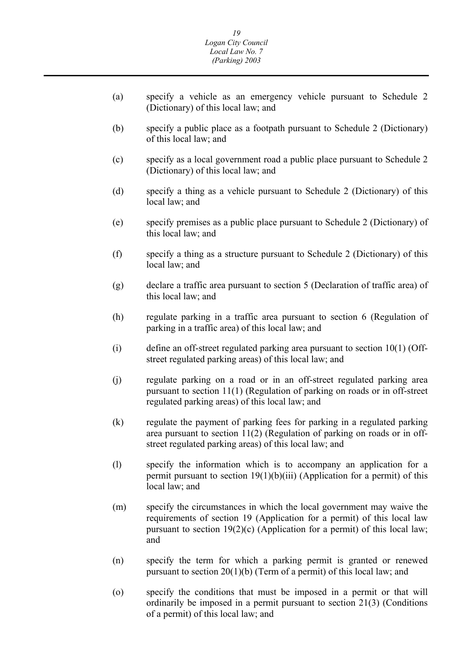- (a) specify a vehicle as an emergency vehicle pursuant to Schedule 2 (Dictionary) of this local law; and
- (b) specify a public place as a footpath pursuant to Schedule 2 (Dictionary) of this local law; and
- (c) specify as a local government road a public place pursuant to Schedule 2 (Dictionary) of this local law; and
- (d) specify a thing as a vehicle pursuant to Schedule 2 (Dictionary) of this local law; and
- (e) specify premises as a public place pursuant to Schedule 2 (Dictionary) of this local law; and
- (f) specify a thing as a structure pursuant to Schedule 2 (Dictionary) of this local law; and
- (g) declare a traffic area pursuant to section 5 (Declaration of traffic area) of this local law; and
- (h) regulate parking in a traffic area pursuant to section 6 (Regulation of parking in a traffic area) of this local law; and
- (i) define an off-street regulated parking area pursuant to section 10(1) (Offstreet regulated parking areas) of this local law; and
- (j) regulate parking on a road or in an off-street regulated parking area pursuant to section 11(1) (Regulation of parking on roads or in off-street regulated parking areas) of this local law; and
- (k) regulate the payment of parking fees for parking in a regulated parking area pursuant to section 11(2) (Regulation of parking on roads or in offstreet regulated parking areas) of this local law; and
- (l) specify the information which is to accompany an application for a permit pursuant to section  $19(1)(b)(iii)$  (Application for a permit) of this local law; and
- (m) specify the circumstances in which the local government may waive the requirements of section 19 (Application for a permit) of this local law pursuant to section  $19(2)(c)$  (Application for a permit) of this local law; and
- (n) specify the term for which a parking permit is granted or renewed pursuant to section 20(1)(b) (Term of a permit) of this local law; and
- (o) specify the conditions that must be imposed in a permit or that will ordinarily be imposed in a permit pursuant to section 21(3) (Conditions of a permit) of this local law; and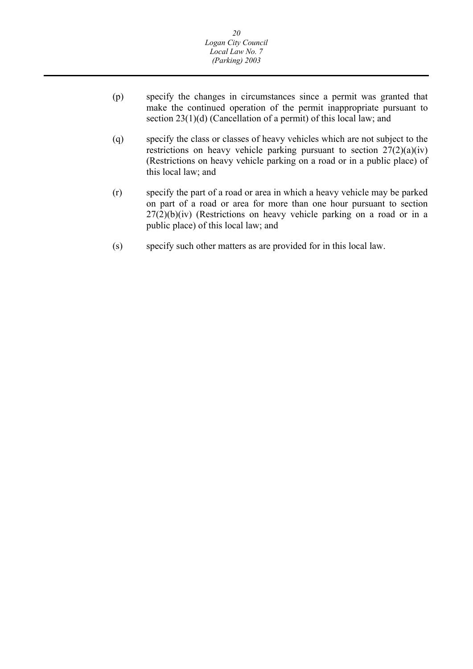- (p) specify the changes in circumstances since a permit was granted that make the continued operation of the permit inappropriate pursuant to section 23(1)(d) (Cancellation of a permit) of this local law; and
- (q) specify the class or classes of heavy vehicles which are not subject to the restrictions on heavy vehicle parking pursuant to section  $27(2)(a)(iv)$ (Restrictions on heavy vehicle parking on a road or in a public place) of this local law; and
- (r) specify the part of a road or area in which a heavy vehicle may be parked on part of a road or area for more than one hour pursuant to section  $27(2)(b)(iv)$  (Restrictions on heavy vehicle parking on a road or in a public place) of this local law; and
- (s) specify such other matters as are provided for in this local law.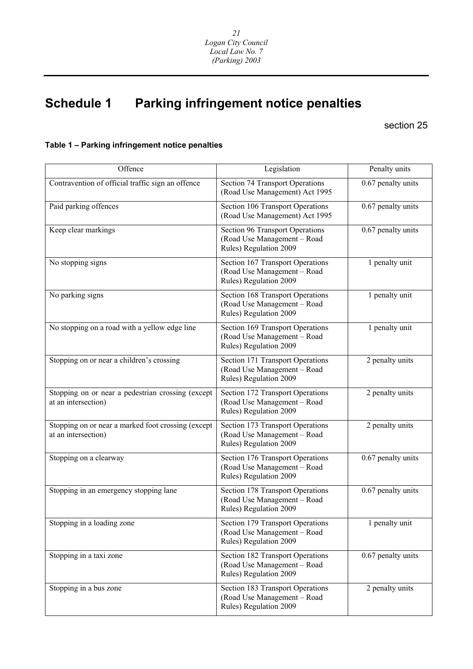## **Schedule 1 Parking infringement notice penalties**

#### section 25

#### **Table 1 – Parking infringement notice penalties**

| Offence                                                                   | Legislation                                                                               | Penalty units      |
|---------------------------------------------------------------------------|-------------------------------------------------------------------------------------------|--------------------|
| Contravention of official traffic sign an offence                         | Section 74 Transport Operations<br>(Road Use Management) Act 1995                         | 0.67 penalty units |
| Paid parking offences                                                     | Section 106 Transport Operations<br>(Road Use Management) Act 1995                        | 0.67 penalty units |
| Keep clear markings                                                       | Section 96 Transport Operations<br>(Road Use Management - Road<br>Rules) Regulation 2009  | 0.67 penalty units |
| No stopping signs                                                         | Section 167 Transport Operations<br>(Road Use Management - Road<br>Rules) Regulation 2009 | 1 penalty unit     |
| No parking signs                                                          | Section 168 Transport Operations<br>(Road Use Management - Road<br>Rules) Regulation 2009 | 1 penalty unit     |
| No stopping on a road with a yellow edge line                             | Section 169 Transport Operations<br>(Road Use Management - Road<br>Rules) Regulation 2009 | 1 penalty unit     |
| Stopping on or near a children's crossing                                 | Section 171 Transport Operations<br>(Road Use Management - Road<br>Rules) Regulation 2009 | 2 penalty units    |
| Stopping on or near a pedestrian crossing (except<br>at an intersection)  | Section 172 Transport Operations<br>(Road Use Management - Road<br>Rules) Regulation 2009 | 2 penalty units    |
| Stopping on or near a marked foot crossing (except<br>at an intersection) | Section 173 Transport Operations<br>(Road Use Management - Road<br>Rules) Regulation 2009 | 2 penalty units    |
| Stopping on a clearway                                                    | Section 176 Transport Operations<br>(Road Use Management - Road<br>Rules) Regulation 2009 | 0.67 penalty units |
| Stopping in an emergency stopping lane                                    | Section 178 Transport Operations<br>(Road Use Management - Road<br>Rules) Regulation 2009 | 0.67 penalty units |
| Stopping in a loading zone                                                | Section 179 Transport Operations<br>(Road Use Management - Road<br>Rules) Regulation 2009 | 1 penalty unit     |
| Stopping in a taxi zone                                                   | Section 182 Transport Operations<br>(Road Use Management - Road<br>Rules) Regulation 2009 | 0.67 penalty units |
| Stopping in a bus zone                                                    | Section 183 Transport Operations<br>(Road Use Management - Road<br>Rules) Regulation 2009 | 2 penalty units    |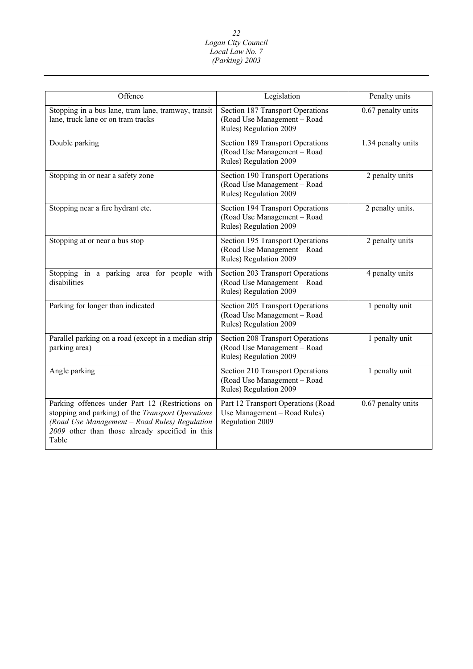| Offence                                                                                                                                                                                                           | Legislation                                                                               | Penalty units      |
|-------------------------------------------------------------------------------------------------------------------------------------------------------------------------------------------------------------------|-------------------------------------------------------------------------------------------|--------------------|
|                                                                                                                                                                                                                   |                                                                                           |                    |
| Stopping in a bus lane, tram lane, tramway, transit<br>lane, truck lane or on tram tracks                                                                                                                         | Section 187 Transport Operations<br>(Road Use Management - Road<br>Rules) Regulation 2009 | 0.67 penalty units |
| Double parking                                                                                                                                                                                                    | Section 189 Transport Operations<br>(Road Use Management - Road<br>Rules) Regulation 2009 | 1.34 penalty units |
| Stopping in or near a safety zone                                                                                                                                                                                 | Section 190 Transport Operations<br>(Road Use Management - Road<br>Rules) Regulation 2009 | 2 penalty units    |
| Stopping near a fire hydrant etc.                                                                                                                                                                                 | Section 194 Transport Operations<br>(Road Use Management - Road<br>Rules) Regulation 2009 | 2 penalty units.   |
| Stopping at or near a bus stop                                                                                                                                                                                    | Section 195 Transport Operations<br>(Road Use Management - Road<br>Rules) Regulation 2009 | 2 penalty units    |
| Stopping in a parking area for people with<br>disabilities                                                                                                                                                        | Section 203 Transport Operations<br>(Road Use Management - Road<br>Rules) Regulation 2009 | 4 penalty units    |
| Parking for longer than indicated                                                                                                                                                                                 | Section 205 Transport Operations<br>(Road Use Management - Road<br>Rules) Regulation 2009 | 1 penalty unit     |
| Parallel parking on a road (except in a median strip<br>parking area)                                                                                                                                             | Section 208 Transport Operations<br>(Road Use Management - Road<br>Rules) Regulation 2009 | 1 penalty unit     |
| Angle parking                                                                                                                                                                                                     | Section 210 Transport Operations<br>(Road Use Management - Road<br>Rules) Regulation 2009 | 1 penalty unit     |
| Parking offences under Part 12 (Restrictions on<br>stopping and parking) of the Transport Operations<br>(Road Use Management - Road Rules) Regulation<br>2009 other than those already specified in this<br>Table | Part 12 Transport Operations (Road<br>Use Management - Road Rules)<br>Regulation 2009     | 0.67 penalty units |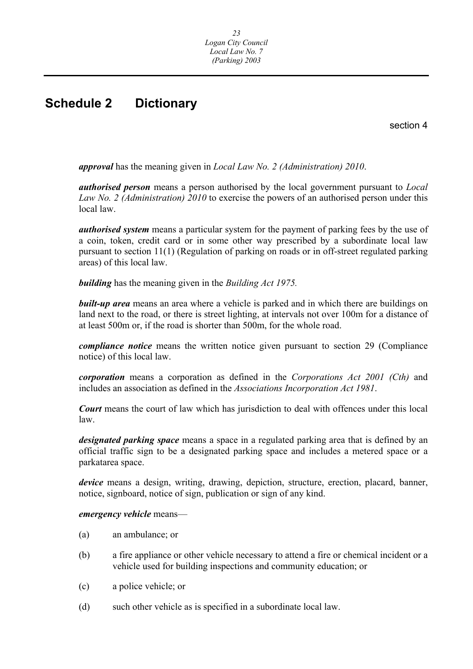## <span id="page-23-0"></span>**Schedule 2 Dictionary**

section 4

*approval* has the meaning given in *Local Law No. 2 (Administration) 2010*.

*authorised person* means a person authorised by the local government pursuant to *Local Law No. 2 (Administration) 2010* to exercise the powers of an authorised person under this local law.

*authorised system* means a particular system for the payment of parking fees by the use of a coin, token, credit card or in some other way prescribed by a subordinate local law pursuant to section 11(1) (Regulation of parking on roads or in off-street regulated parking areas) of this local law.

*building* has the meaning given in the *Building Act 1975.* 

*built-up area* means an area where a vehicle is parked and in which there are buildings on land next to the road, or there is street lighting, at intervals not over 100m for a distance of at least 500m or, if the road is shorter than 500m, for the whole road.

*compliance notice* means the written notice given pursuant to section 29 (Compliance notice) of this local law.

*corporation* means a corporation as defined in the *Corporations Act 2001 (Cth)* and includes an association as defined in the *Associations Incorporation Act 1981*.

*Court* means the court of law which has jurisdiction to deal with offences under this local law.

*designated parking space* means a space in a regulated parking area that is defined by an official traffic sign to be a designated parking space and includes a metered space or a parkatarea space.

*device* means a design, writing, drawing, depiction, structure, erection, placard, banner, notice, signboard, notice of sign, publication or sign of any kind.

#### *emergency vehicle* means—

- (a) an ambulance; or
- (b) a fire appliance or other vehicle necessary to attend a fire or chemical incident or a vehicle used for building inspections and community education; or
- (c) a police vehicle; or
- (d) such other vehicle as is specified in a subordinate local law.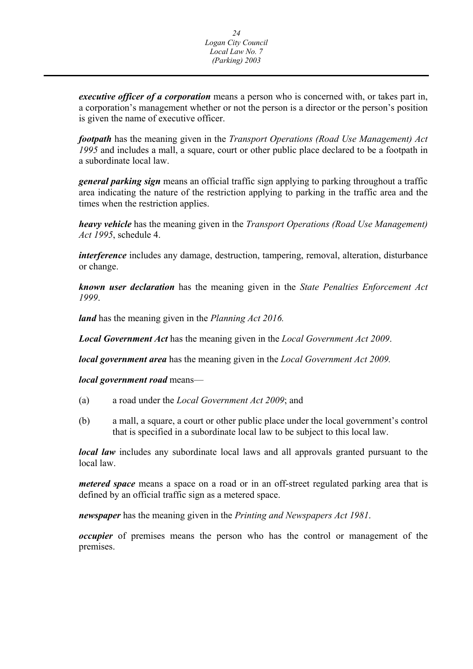*executive officer of a corporation* means a person who is concerned with, or takes part in, a corporation's management whether or not the person is a director or the person's position is given the name of executive officer.

*footpath* has the meaning given in the *Transport Operations (Road Use Management) Act 1995* and includes a mall, a square, court or other public place declared to be a footpath in a subordinate local law.

*general parking sign* means an official traffic sign applying to parking throughout a traffic area indicating the nature of the restriction applying to parking in the traffic area and the times when the restriction applies.

*heavy vehicle* has the meaning given in the *Transport Operations (Road Use Management) Act 1995*, schedule 4.

*interference* includes any damage, destruction, tampering, removal, alteration, disturbance or change.

*known user declaration* has the meaning given in the *State Penalties Enforcement Act 1999*.

*land* has the meaning given in the *Planning Act 2016.* 

*Local Government Act* has the meaning given in the *Local Government Act 2009*.

*local government area* has the meaning given in the *Local Government Act 2009.* 

*local government road* means—

- (a) a road under the *Local Government Act 2009*; and
- (b) a mall, a square, a court or other public place under the local government's control that is specified in a subordinate local law to be subject to this local law.

*local law* includes any subordinate local laws and all approvals granted pursuant to the local law.

*metered space* means a space on a road or in an off-street regulated parking area that is defined by an official traffic sign as a metered space.

*newspaper* has the meaning given in the *Printing and Newspapers Act 1981*.

*occupier* of premises means the person who has the control or management of the premises.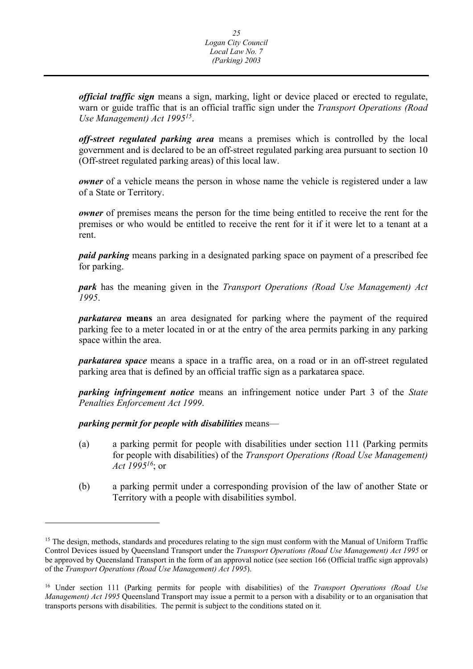*official traffic sign* means a sign, marking, light or device placed or erected to regulate, warn or guide traffic that is an official traffic sign under the *Transport Operations (Road Use Management) Act 199515*.

*off-street regulated parking area* means a premises which is controlled by the local government and is declared to be an off-street regulated parking area pursuant to section 10 (Off-street regulated parking areas) of this local law.

*owner* of a vehicle means the person in whose name the vehicle is registered under a law of a State or Territory.

*owner* of premises means the person for the time being entitled to receive the rent for the premises or who would be entitled to receive the rent for it if it were let to a tenant at a rent.

*paid parking* means parking in a designated parking space on payment of a prescribed fee for parking.

*park* has the meaning given in the *Transport Operations (Road Use Management) Act 1995*.

*parkatarea* **means** an area designated for parking where the payment of the required parking fee to a meter located in or at the entry of the area permits parking in any parking space within the area.

*parkatarea space* means a space in a traffic area, on a road or in an off-street regulated parking area that is defined by an official traffic sign as a parkatarea space.

*parking infringement notice* means an infringement notice under Part 3 of the *State Penalties Enforcement Act 1999*.

*parking permit for people with disabilities* means—

 $\overline{a}$ 

- (a) a parking permit for people with disabilities under section 111 (Parking permits for people with disabilities) of the *Transport Operations (Road Use Management) Act 199516*; or
- (b) a parking permit under a corresponding provision of the law of another State or Territory with a people with disabilities symbol.

 be approved by Queensland Transport in the form of an approval notice (see section 166 (Official traffic sign approvals) <sup>15</sup> The design, methods, standards and procedures relating to the sign must conform with the Manual of Uniform Traffic Control Devices issued by Queensland Transport under the *Transport Operations (Road Use Management) Act 1995* or of the *Transport Operations (Road Use Management) Act 1995*).

<sup>16</sup> Under section 111 (Parking permits for people with disabilities) of the *Transport Operations (Road Use Management) Act 1995* Queensland Transport may issue a permit to a person with a disability or to an organisation that transports persons with disabilities. The permit is subject to the conditions stated on it.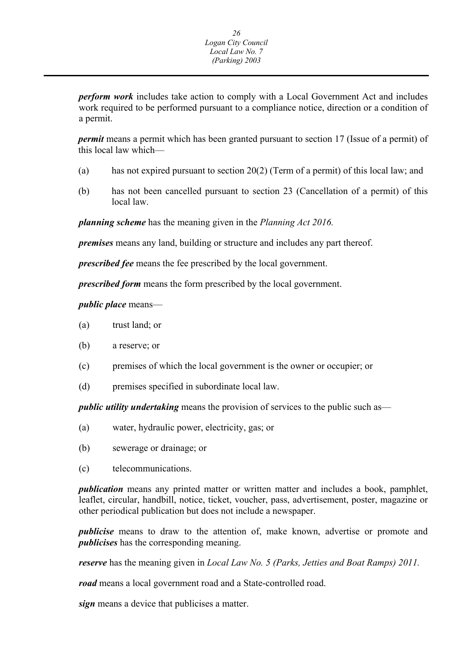*perform work* includes take action to comply with a Local Government Act and includes work required to be performed pursuant to a compliance notice, direction or a condition of a permit.

*permit* means a permit which has been granted pursuant to section 17 (Issue of a permit) of this local law which—

- (a) has not expired pursuant to section 20(2) (Term of a permit) of this local law; and
- (b) has not been cancelled pursuant to section 23 (Cancellation of a permit) of this local law.

*planning scheme* has the meaning given in the *Planning Act 2016.* 

*premises* means any land, building or structure and includes any part thereof.

*prescribed fee* means the fee prescribed by the local government.

*prescribed form* means the form prescribed by the local government.

#### *public place* means—

- (a) trust land; or
- (b) a reserve; or
- (c) premises of which the local government is the owner or occupier; or
- (d) premises specified in subordinate local law.

*public utility undertaking* means the provision of services to the public such as—

- (a) water, hydraulic power, electricity, gas; or
- (b) sewerage or drainage; or
- (c) telecommunications.

*publication* means any printed matter or written matter and includes a book, pamphlet, leaflet, circular, handbill, notice, ticket, voucher, pass, advertisement, poster, magazine or other periodical publication but does not include a newspaper.

*publicise* means to draw to the attention of, make known, advertise or promote and *publicises* has the corresponding meaning.

*reserve* has the meaning given in *Local Law No. 5 (Parks, Jetties and Boat Ramps) 2011.* 

*road* means a local government road and a State-controlled road.

*sign* means a device that publicises a matter.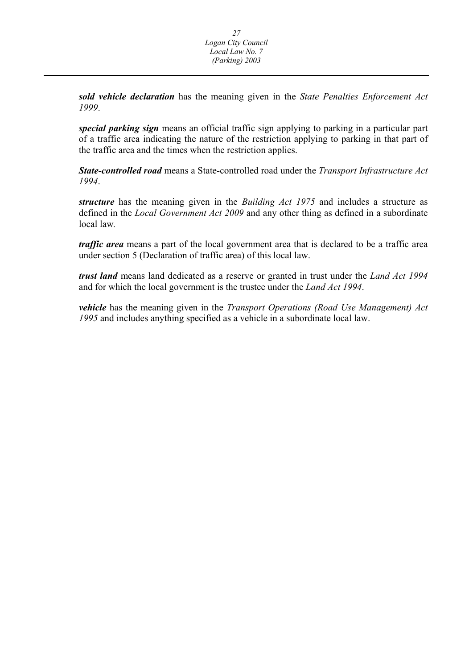*sold vehicle declaration* has the meaning given in the *State Penalties Enforcement Act 1999*.

*special parking sign* means an official traffic sign applying to parking in a particular part of a traffic area indicating the nature of the restriction applying to parking in that part of the traffic area and the times when the restriction applies.

*State-controlled road* means a State-controlled road under the *Transport Infrastructure Act 1994*.

*structure* has the meaning given in the *Building Act 1975* and includes a structure as defined in the *Local Government Act 2009* and any other thing as defined in a subordinate local law*.* 

*traffic area* means a part of the local government area that is declared to be a traffic area under section 5 (Declaration of traffic area) of this local law.

*trust land* means land dedicated as a reserve or granted in trust under the *Land Act 1994*  and for which the local government is the trustee under the *Land Act 1994*.

*vehicle* has the meaning given in the *Transport Operations (Road Use Management) Act 1995* and includes anything specified as a vehicle in a subordinate local law.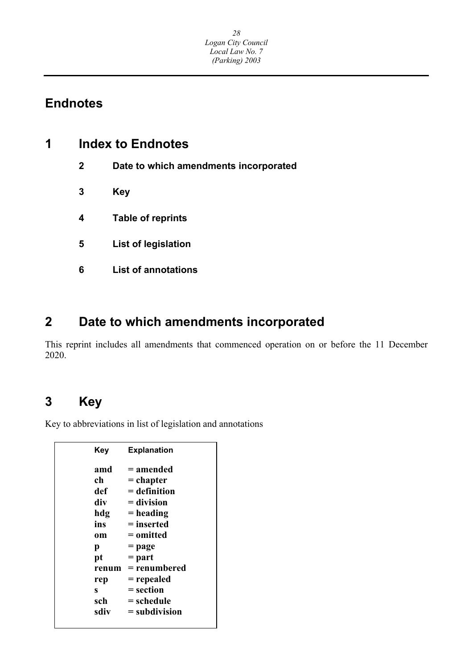## **Endnotes**

| 1 |              | <b>Index to Endnotes</b>              |  |
|---|--------------|---------------------------------------|--|
|   | $\mathbf{2}$ | Date to which amendments incorporated |  |
|   | 3            | Key                                   |  |
|   | 4            | <b>Table of reprints</b>              |  |
|   | 5            | List of legislation                   |  |
|   | 6            | <b>List of annotations</b>            |  |
|   |              |                                       |  |

## **2 Date to which amendments incorporated**

This reprint includes all amendments that commenced operation on or before the 11 December 2020.

## **3 Key**

Key to abbreviations in list of legislation and annotations

| Kev   | <b>Explanation</b> |
|-------|--------------------|
| amd   | = amended          |
| ch    | = chapter          |
| def   | $=$ definition     |
| div   | $=$ division       |
| hdg   | = heading          |
| ins   | = inserted         |
| om    | = omitted          |
| р     | = page             |
| pt    | $=$ part           |
| renum | = renumbered       |
| rep   | = repealed         |
| s     | = section          |
| sch   | = schedule         |
| sdiv  | $=$ subdivision    |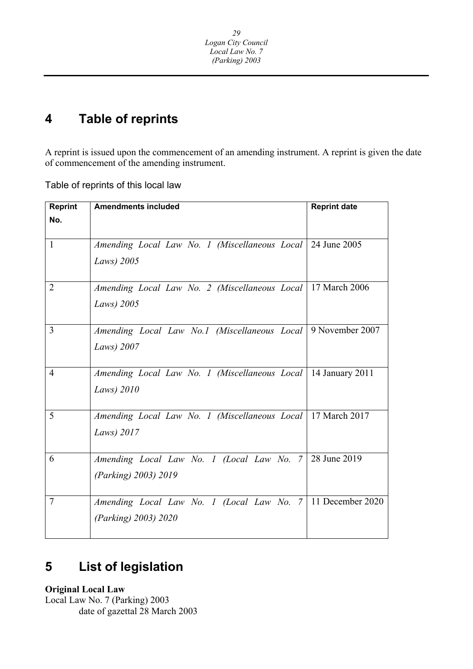#### **4 Table of reprints**

A reprint is issued upon the commencement of an amending instrument. A reprint is given the date of commencement of the amending instrument.

Table of reprints of this local law

| <b>Reprint</b> | <b>Amendments included</b>                                                                  | <b>Reprint date</b> |
|----------------|---------------------------------------------------------------------------------------------|---------------------|
| No.            |                                                                                             |                     |
| $\mathbf{1}$   | Amending Local Law No. 1 (Miscellaneous Local   24 June 2005<br>Laws) 2005                  |                     |
| 2              | Amending Local Law No. 2 (Miscellaneous Local   17 March 2006<br>Laws) 2005                 |                     |
| $\overline{3}$ | Amending Local Law No.1 (Miscellaneous Local 9 November 2007<br>Laws) 2007                  |                     |
| $\overline{4}$ | Amending Local Law No. 1 (Miscellaneous Local   14 January 2011<br>Laws) $2010$             |                     |
| 5              | Amending Local Law No. 1 (Miscellaneous Local   17 March 2017)<br>Laws) 2017                |                     |
| 6              | Amending Local Law No. 1 (Local Law No. 7)<br>(Parking) 2003) 2019                          | 28 June 2019        |
| $\overline{7}$ | Amending Local Law No. 1 (Local Law No. 7   11 December 2020<br><i>(Parking)</i> 2003) 2020 |                     |

#### **List of legislation 5**

**Original Local Law** 

Local Law No. 7 (Parking) 2003 date of gazettal 28 March 2003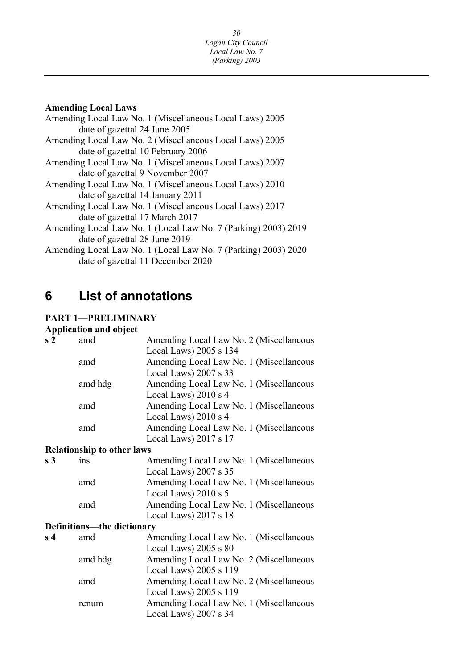|  | <b>Amending Local Laws</b> |
|--|----------------------------|
|  |                            |

| Amending Local Law No. 1 (Miscellaneous Local Laws) 2005       |
|----------------------------------------------------------------|
| date of gazettal 24 June 2005                                  |
| Amending Local Law No. 2 (Miscellaneous Local Laws) 2005       |
| date of gazettal 10 February 2006                              |
| Amending Local Law No. 1 (Miscellaneous Local Laws) 2007       |
| date of gazettal 9 November 2007                               |
| Amending Local Law No. 1 (Miscellaneous Local Laws) 2010       |
| date of gazettal 14 January 2011                               |
| Amending Local Law No. 1 (Miscellaneous Local Laws) 2017       |
| date of gazettal 17 March 2017                                 |
| Amending Local Law No. 1 (Local Law No. 7 (Parking) 2003) 2019 |
| date of gazettal 28 June 2019                                  |
| Amending Local Law No. 1 (Local Law No. 7 (Parking) 2003) 2020 |
| date of gazettal 11 December 2020                              |

#### **6 List of annotations**

### **PART 1—PRELIMINARY**

### **Application and object**

| s <sub>2</sub> | amd                               | Amending Local Law No. 2 (Miscellaneous |
|----------------|-----------------------------------|-----------------------------------------|
|                |                                   | Local Laws) 2005 s 134                  |
|                | amd                               | Amending Local Law No. 1 (Miscellaneous |
|                |                                   | Local Laws) 2007 s 33                   |
|                | amd hdg                           | Amending Local Law No. 1 (Miscellaneous |
|                |                                   | Local Laws) 2010 s 4                    |
|                | amd                               | Amending Local Law No. 1 (Miscellaneous |
|                |                                   | Local Laws) 2010 s 4                    |
|                | amd                               | Amending Local Law No. 1 (Miscellaneous |
|                |                                   | Local Laws) 2017 s 17                   |
|                | <b>Relationship to other laws</b> |                                         |
| s <sub>3</sub> | ins                               | Amending Local Law No. 1 (Miscellaneous |
|                |                                   | Local Laws) 2007 s 35                   |
|                | amd                               | Amending Local Law No. 1 (Miscellaneous |
|                |                                   | Local Laws) $2010 s 5$                  |
|                | amd                               | Amending Local Law No. 1 (Miscellaneous |
|                |                                   | Local Laws) 2017 s 18                   |
|                | Definitions—the dictionary        |                                         |
| s <sub>4</sub> | amd                               | Amending Local Law No. 1 (Miscellaneous |
|                |                                   | Local Laws) $2005 s 80$                 |
|                | amd hdg                           | Amending Local Law No. 2 (Miscellaneous |
|                |                                   | Local Laws) 2005 s 119                  |
|                | amd                               | Amending Local Law No. 2 (Miscellaneous |
|                |                                   | Local Laws) 2005 s 119                  |
|                | renum                             | Amending Local Law No. 1 (Miscellaneous |
|                |                                   | Local Laws) 2007 s 34                   |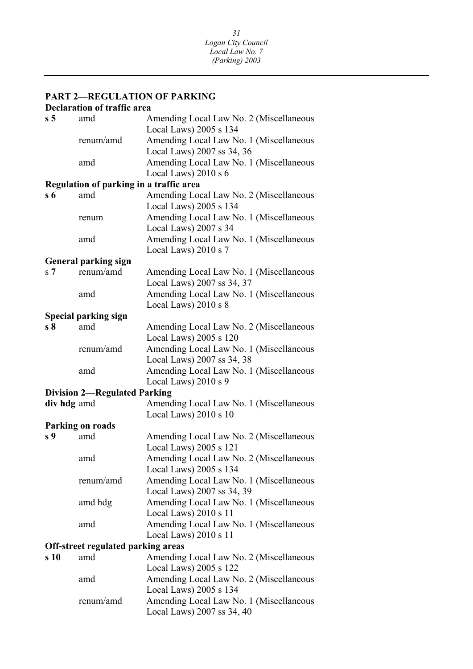### <span id="page-31-0"></span>**PART 2—REGULATION OF PARKING**

#### **Declaration of traffic area**

| s <sub>5</sub> | amd                                       | Amending Local Law No. 2 (Miscellaneous<br>Local Laws) 2005 s 134 |
|----------------|-------------------------------------------|-------------------------------------------------------------------|
|                | renum/amd                                 | Amending Local Law No. 1 (Miscellaneous                           |
|                |                                           | Local Laws) 2007 ss 34, 36                                        |
|                | amd                                       | Amending Local Law No. 1 (Miscellaneous                           |
|                |                                           | Local Laws) $2010 s 6$                                            |
|                | Regulation of parking in a traffic area   |                                                                   |
| $s\,6$         | amd                                       | Amending Local Law No. 2 (Miscellaneous                           |
|                |                                           | Local Laws) 2005 s 134                                            |
|                | renum                                     | Amending Local Law No. 1 (Miscellaneous                           |
|                |                                           | Local Laws) 2007 s 34                                             |
|                | amd                                       | Amending Local Law No. 1 (Miscellaneous                           |
|                |                                           | Local Laws) 2010 s 7                                              |
|                | <b>General parking sign</b>               |                                                                   |
| s <sub>7</sub> | renum/amd                                 | Amending Local Law No. 1 (Miscellaneous                           |
|                |                                           | Local Laws) 2007 ss 34, 37                                        |
|                | amd                                       | Amending Local Law No. 1 (Miscellaneous                           |
|                |                                           | Local Laws) 2010 s 8                                              |
| s <sub>8</sub> | <b>Special parking sign</b><br>amd        | Amending Local Law No. 2 (Miscellaneous                           |
|                |                                           | Local Laws) 2005 s 120                                            |
|                | renum/amd                                 | Amending Local Law No. 1 (Miscellaneous                           |
|                |                                           | Local Laws) 2007 ss 34, 38                                        |
|                | amd                                       | Amending Local Law No. 1 (Miscellaneous                           |
|                |                                           | Local Laws) 2010 s 9                                              |
|                | <b>Division 2-Regulated Parking</b>       |                                                                   |
| div hdg amd    |                                           | Amending Local Law No. 1 (Miscellaneous                           |
|                |                                           | Local Laws) 2010 s 10                                             |
|                | Parking on roads                          |                                                                   |
| s 9            | amd                                       | Amending Local Law No. 2 (Miscellaneous                           |
|                |                                           | Local Laws) 2005 s 121                                            |
|                | amd                                       | Amending Local Law No. 2 (Miscellaneous                           |
|                |                                           | Local Laws) 2005 s 134                                            |
|                | renum/amd                                 | Amending Local Law No. 1 (Miscellaneous                           |
|                |                                           | Local Laws) 2007 ss 34, 39                                        |
|                | amd hdg                                   | Amending Local Law No. 1 (Miscellaneous                           |
|                |                                           | Local Laws) 2010 s 11                                             |
|                | amd                                       | Amending Local Law No. 1 (Miscellaneous                           |
|                |                                           | Local Laws) 2010 s 11                                             |
|                | <b>Off-street regulated parking areas</b> |                                                                   |
| s 10           | amd                                       | Amending Local Law No. 2 (Miscellaneous                           |
|                |                                           | Local Laws) 2005 s 122                                            |
|                | amd                                       | Amending Local Law No. 2 (Miscellaneous                           |
|                |                                           | Local Laws) 2005 s 134                                            |
|                | renum/amd                                 | Amending Local Law No. 1 (Miscellaneous                           |
|                |                                           | Local Laws) 2007 ss 34, 40                                        |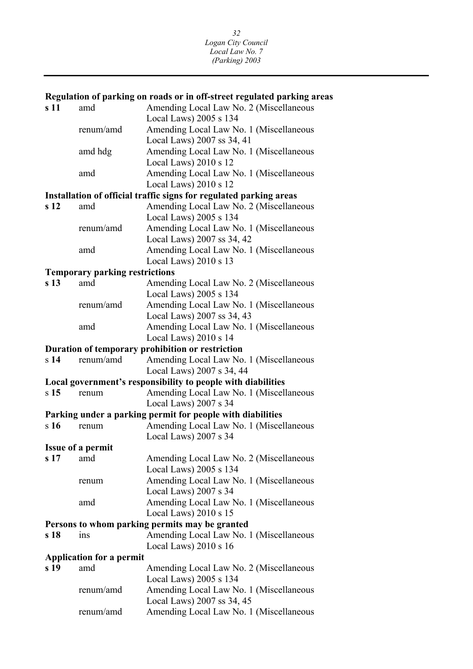#### <span id="page-32-0"></span>ins **Regulation of parking on roads or in off-street regulated parking areas**  s 11 amd Amending Local Law No. 2 (Miscellaneous Local Laws) 2005 s 134 renum/amd Amending Local Law No. 1 (Miscellaneous Local Laws) 2007 ss 34, 41 amd hdg Amending Local Law No. 1 (Miscellaneous Local Laws) 2010 s 12 amd Amending Local Law No. 1 (Miscellaneous Local Laws) 2010 s 12 **Installation of official traffic signs for regulated parking areas**  s 12 amd Amending Local Law No. 2 (Miscellaneous Local Laws) 2005 s 134 renum/amd Amending Local Law No. 1 (Miscellaneous Local Laws) 2007 ss 34, 42 amd Amending Local Law No. 1 (Miscellaneous Local Laws) 2010 s 13 **Temporary parking restrictions**  s 13 amd Amending Local Law No. 2 (Miscellaneous Local Laws) 2005 s 134 renum/amd Amending Local Law No. 1 (Miscellaneous Local Laws) 2007 ss 34, 43 amd Amending Local Law No. 1 (Miscellaneous Local Laws) 2010 s 14 **Duration of temporary prohibition or restriction**  s **14** renum/amd Amending Local Law No. 1 (Miscellaneous Local Laws) 2007 s 34, 44 **Local government's responsibility to people with diabilities**  s 15 renum Amending Local Law No. 1 (Miscellaneous Local Laws) 2007 s 34 **Parking under a parking permit for people with diabilities**  s 16 renum Amending Local Law No. 1 (Miscellaneous Local Laws) 2007 s 34 **Issue of a permit**  s 17 amd Amending Local Law No. 2 (Miscellaneous Local Laws) 2005 s 134 renum Amending Local Law No. 1 (Miscellaneous Local Laws) 2007 s 34 amd Amending Local Law No. 1 (Miscellaneous Local Laws) 2010 s 15 **Persons to whom parking permits may be granted**  s 18 ins Amending Local Law No. 1 (Miscellaneous Local Laws) 2010 s 16 **Application for a permit**  s 19 amd Amending Local Law No. 2 (Miscellaneous Local Laws) 2005 s 134 renum/amd Amending Local Law No. 1 (Miscellaneous Local Laws) 2007 ss 34, 45 renum/amd Amending Local Law No. 1 (Miscellaneous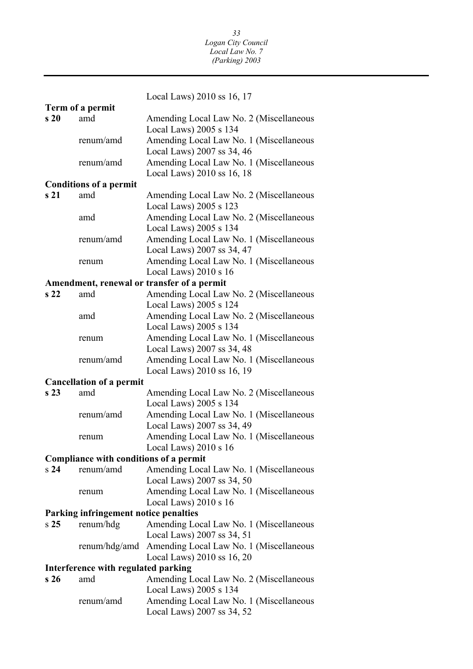<span id="page-33-0"></span>Local Laws) 2010 ss 16, 17 **Term of a permit s 20** amd Amending Local Law No. 2 (Miscellaneous Local Laws) 2005 s 134 renum/amd Amending Local Law No. 1 (Miscellaneous Local Laws) 2007 ss 34, 46 renum/amd Amending Local Law No. 1 (Miscellaneous Local Laws) 2010 ss 16, 18 **Conditions of a permit**  s 21 amd Amending Local Law No. 2 (Miscellaneous Local Laws) 2005 s 123 amd Amending Local Law No. 2 (Miscellaneous Local Laws) 2005 s 134 renum/amd Amending Local Law No. 1 (Miscellaneous Local Laws) 2007 ss 34, 47 renum Amending Local Law No. 1 (Miscellaneous Local Laws) 2010 s 16 **Amendment, renewal or transfer of a permit s 22** amd Amending Local Law No. 2 (Miscellaneous Local Laws) 2005 s 124 amd Amending Local Law No. 2 (Miscellaneous Local Laws) 2005 s 134 renum Amending Local Law No. 1 (Miscellaneous Local Laws) 2007 ss 34, 48 renum/amd Amending Local Law No. 1 (Miscellaneous Local Laws) 2010 ss 16, 19 **Cancellation of a permit**  s 23 amd Amending Local Law No. 2 (Miscellaneous Local Laws) 2005 s 134 renum/amd Amending Local Law No. 1 (Miscellaneous Local Laws) 2007 ss 34, 49 renum Amending Local Law No. 1 (Miscellaneous Local Laws) 2010 s 16 **Compliance with conditions of a permit**  s **24** renum/amd Amending Local Law No. 1 (Miscellaneous Local Laws) 2007 ss 34, 50 renum Amending Local Law No. 1 (Miscellaneous Local Laws) 2010 s 16 **Parking infringement notice penalties**  s **25** renum/hdg Amending Local Law No. 1 (Miscellaneous Local Laws) 2007 ss 34, 51 renum/hdg/amd Amending Local Law No. 1 (Miscellaneous Local Laws) 2010 ss 16, 20 **Interference with regulated parking s 26** amd Amending Local Law No. 2 (Miscellaneous Local Laws) 2005 s 134 renum/amd Amending Local Law No. 1 (Miscellaneous Local Laws) 2007 ss 34, 52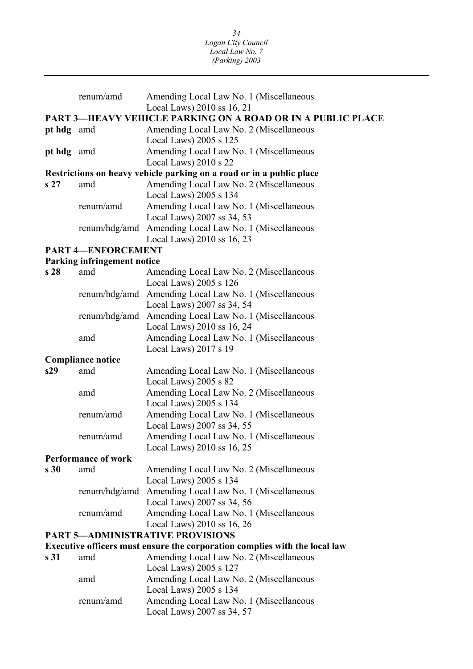|                          | renum/amd                          | Amending Local Law No. 1 (Miscellaneous                                             |  |
|--------------------------|------------------------------------|-------------------------------------------------------------------------------------|--|
|                          |                                    | Local Laws) 2010 ss 16, 21                                                          |  |
|                          |                                    | <b>PART 3—HEAVY VEHICLE PARKING ON A ROAD OR IN A PUBLIC PLACE</b>                  |  |
| pt hdg amd               |                                    | Amending Local Law No. 2 (Miscellaneous<br>Local Laws) $2005$ s $125$               |  |
| pt hdg amd               |                                    | Amending Local Law No. 1 (Miscellaneous                                             |  |
|                          |                                    | Local Laws) 2010 s 22                                                               |  |
|                          |                                    | Restrictions on heavy vehicle parking on a road or in a public place                |  |
| s <sub>27</sub>          | amd                                | Amending Local Law No. 2 (Miscellaneous                                             |  |
|                          |                                    | Local Laws) 2005 s 134                                                              |  |
|                          | renum/amd                          | Amending Local Law No. 1 (Miscellaneous                                             |  |
|                          |                                    | Local Laws) 2007 ss 34, 53                                                          |  |
|                          | renum/hdg/amd                      | Amending Local Law No. 1 (Miscellaneous                                             |  |
|                          |                                    | Local Laws) 2010 ss 16, 23                                                          |  |
|                          | <b>PART 4-ENFORCEMENT</b>          |                                                                                     |  |
|                          | <b>Parking infringement notice</b> |                                                                                     |  |
| s <sub>28</sub>          | amd                                | Amending Local Law No. 2 (Miscellaneous                                             |  |
|                          |                                    | Local Laws) 2005 s 126                                                              |  |
|                          |                                    | renum/hdg/amd Amending Local Law No. 1 (Miscellaneous                               |  |
|                          |                                    | Local Laws) 2007 ss 34, 54                                                          |  |
|                          |                                    | renum/hdg/amd Amending Local Law No. 1 (Miscellaneous<br>Local Laws) 2010 ss 16, 24 |  |
|                          | amd                                | Amending Local Law No. 1 (Miscellaneous                                             |  |
|                          |                                    | Local Laws) 2017 s 19                                                               |  |
| <b>Compliance notice</b> |                                    |                                                                                     |  |
| s29                      | amd                                | Amending Local Law No. 1 (Miscellaneous                                             |  |
|                          |                                    | Local Laws) $2005 s 82$                                                             |  |
|                          | amd                                | Amending Local Law No. 2 (Miscellaneous                                             |  |
|                          |                                    | Local Laws) 2005 s 134                                                              |  |
|                          | renum/amd                          | Amending Local Law No. 1 (Miscellaneous                                             |  |
|                          |                                    | Local Laws) 2007 ss 34, 55                                                          |  |
|                          | renum/amd                          | Amending Local Law No. 1 (Miscellaneous                                             |  |
|                          |                                    | Local Laws) 2010 ss 16, 25                                                          |  |
|                          | <b>Performance of work</b>         |                                                                                     |  |
| s30                      | amd                                | Amending Local Law No. 2 (Miscellaneous                                             |  |
|                          |                                    | Local Laws) 2005 s 134                                                              |  |
|                          |                                    | renum/hdg/amd Amending Local Law No. 1 (Miscellaneous<br>Local Laws) 2007 ss 34, 56 |  |
|                          | renum/amd                          | Amending Local Law No. 1 (Miscellaneous                                             |  |
|                          |                                    | Local Laws) 2010 ss 16, 26                                                          |  |
|                          |                                    | <b>PART 5-ADMINISTRATIVE PROVISIONS</b>                                             |  |
|                          |                                    | Executive officers must ensure the corporation complies with the local law          |  |
| s 31                     | amd                                | Amending Local Law No. 2 (Miscellaneous                                             |  |
|                          |                                    | Local Laws) 2005 s 127                                                              |  |
|                          | amd                                | Amending Local Law No. 2 (Miscellaneous                                             |  |
|                          |                                    | Local Laws) 2005 s 134                                                              |  |
|                          | renum/amd                          | Amending Local Law No. 1 (Miscellaneous                                             |  |
|                          |                                    | Local Laws) 2007 ss 34, 57                                                          |  |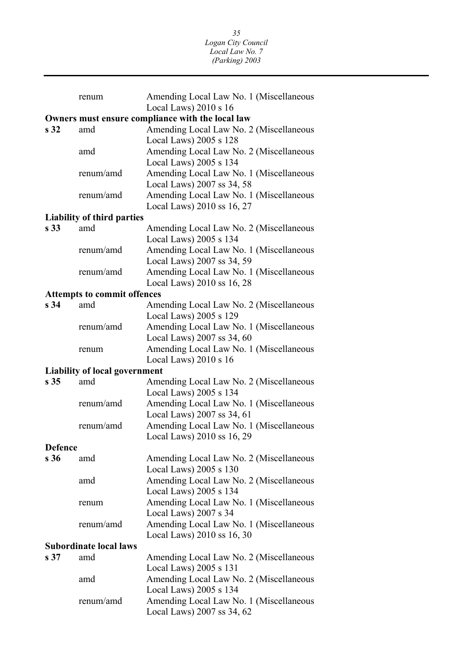|                 | renum                                | Amending Local Law No. 1 (Miscellaneous                               |
|-----------------|--------------------------------------|-----------------------------------------------------------------------|
|                 |                                      | Local Laws) 2010 s 16                                                 |
|                 |                                      | Owners must ensure compliance with the local law                      |
| s <sub>32</sub> | amd                                  | Amending Local Law No. 2 (Miscellaneous                               |
|                 |                                      | Local Laws) 2005 s 128                                                |
|                 | amd                                  | Amending Local Law No. 2 (Miscellaneous                               |
|                 |                                      | Local Laws) 2005 s 134                                                |
|                 | renum/amd                            | Amending Local Law No. 1 (Miscellaneous                               |
|                 |                                      | Local Laws) 2007 ss 34, 58                                            |
|                 | renum/amd                            | Amending Local Law No. 1 (Miscellaneous                               |
|                 |                                      | Local Laws) 2010 ss 16, 27                                            |
|                 | <b>Liability of third parties</b>    |                                                                       |
| s <sub>33</sub> | amd                                  | Amending Local Law No. 2 (Miscellaneous                               |
|                 |                                      | Local Laws) 2005 s 134                                                |
|                 | renum/amd                            | Amending Local Law No. 1 (Miscellaneous                               |
|                 |                                      | Local Laws) 2007 ss 34, 59                                            |
|                 | renum/amd                            | Amending Local Law No. 1 (Miscellaneous                               |
|                 |                                      | Local Laws) 2010 ss 16, 28                                            |
|                 | <b>Attempts to commit offences</b>   |                                                                       |
| s <sub>34</sub> | amd                                  | Amending Local Law No. 2 (Miscellaneous                               |
|                 |                                      | Local Laws) 2005 s 129                                                |
|                 | renum/amd                            | Amending Local Law No. 1 (Miscellaneous                               |
|                 |                                      | Local Laws) 2007 ss 34, 60                                            |
|                 | renum                                | Amending Local Law No. 1 (Miscellaneous                               |
|                 |                                      | Local Laws) 2010 s 16                                                 |
|                 | <b>Liability of local government</b> |                                                                       |
| s <sub>35</sub> | amd                                  | Amending Local Law No. 2 (Miscellaneous                               |
|                 |                                      | Local Laws) 2005 s 134                                                |
|                 | renum/amd                            | Amending Local Law No. 1 (Miscellaneous                               |
|                 |                                      |                                                                       |
|                 |                                      |                                                                       |
|                 | renum/amd                            | Local Laws) 2007 ss 34, 61<br>Amending Local Law No. 1 (Miscellaneous |
|                 |                                      |                                                                       |
| <b>Defence</b>  |                                      | Local Laws) 2010 ss 16, 29                                            |
| s <sub>36</sub> | amd                                  |                                                                       |
|                 |                                      | Amending Local Law No. 2 (Miscellaneous                               |
|                 | amd                                  | Local Laws) 2005 s 130                                                |
|                 |                                      | Amending Local Law No. 2 (Miscellaneous<br>Local Laws) 2005 s 134     |
|                 | renum                                |                                                                       |
|                 |                                      | Amending Local Law No. 1 (Miscellaneous                               |
|                 | renum/amd                            | Local Laws) 2007 s 34<br>Amending Local Law No. 1 (Miscellaneous      |
|                 |                                      | Local Laws) 2010 ss 16, 30                                            |
|                 | <b>Subordinate local laws</b>        |                                                                       |
| s <sub>37</sub> | amd                                  |                                                                       |
|                 |                                      | Amending Local Law No. 2 (Miscellaneous<br>Local Laws) 2005 s 131     |
|                 | amd                                  | Amending Local Law No. 2 (Miscellaneous                               |
|                 |                                      | Local Laws) 2005 s 134                                                |
|                 | renum/amd                            | Amending Local Law No. 1 (Miscellaneous                               |
|                 |                                      | Local Laws) 2007 ss 34, 62                                            |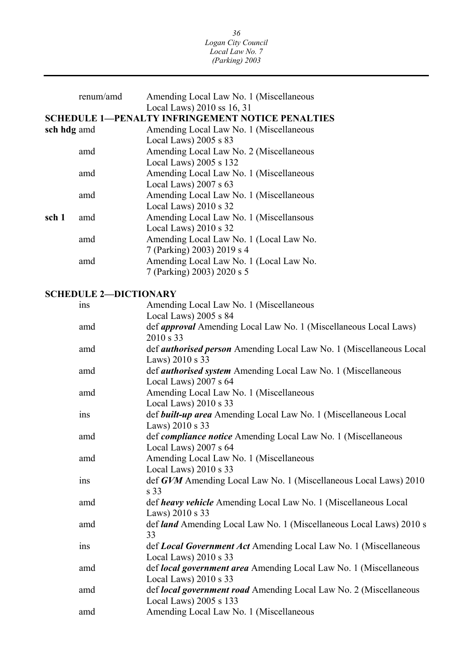|             | renum/amd                    | Amending Local Law No. 1 (Miscellaneous                                          |
|-------------|------------------------------|----------------------------------------------------------------------------------|
|             |                              | Local Laws) 2010 ss 16, 31                                                       |
|             |                              | <b>SCHEDULE 1-PENALTY INFRINGEMENT NOTICE PENALTIES</b>                          |
| sch hdg amd |                              | Amending Local Law No. 1 (Miscellaneous                                          |
|             |                              | Local Laws) 2005 s 83                                                            |
|             | amd                          | Amending Local Law No. 2 (Miscellaneous                                          |
|             |                              | Local Laws) 2005 s 132                                                           |
|             | amd                          | Amending Local Law No. 1 (Miscellaneous                                          |
|             |                              | Local Laws) 2007 s 63                                                            |
|             | amd                          | Amending Local Law No. 1 (Miscellaneous<br>Local Laws) 2010 s 32                 |
| sch 1       | amd                          | Amending Local Law No. 1 (Miscellansous                                          |
|             |                              | Local Laws) 2010 s 32                                                            |
|             | amd                          | Amending Local Law No. 1 (Local Law No.                                          |
|             |                              | 7 (Parking) 2003) 2019 s 4                                                       |
|             | amd                          | Amending Local Law No. 1 (Local Law No.                                          |
|             |                              | 7 (Parking) 2003) 2020 s 5                                                       |
|             |                              |                                                                                  |
|             | <b>SCHEDULE 2-DICTIONARY</b> |                                                                                  |
|             | ins                          | Amending Local Law No. 1 (Miscellaneous                                          |
|             |                              | Local Laws) 2005 s 84                                                            |
|             | amd                          | def <i>approval</i> Amending Local Law No. 1 (Miscellaneous Local Laws)          |
|             |                              | 2010 s 33                                                                        |
|             | amd                          | def <i>authorised person</i> Amending Local Law No. 1 (Miscellaneous Local       |
|             |                              | Laws) 2010 s 33                                                                  |
|             | amd                          | def authorised system Amending Local Law No. 1 (Miscellaneous                    |
|             |                              | Local Laws) 2007 s 64                                                            |
|             | amd                          | Amending Local Law No. 1 (Miscellaneous                                          |
|             |                              | Local Laws) 2010 s 33                                                            |
|             | ins                          | def built-up area Amending Local Law No. 1 (Miscellaneous Local                  |
|             |                              | Laws) 2010 s 33<br>def compliance notice Amending Local Law No. 1 (Miscellaneous |
|             | amd                          | Local Laws) $2007$ s $64$                                                        |
|             | amd                          | Amending Local Law No. 1 (Miscellaneous                                          |
|             |                              | Local Laws) $2010 s 33$                                                          |
|             | ins                          | def GVM Amending Local Law No. 1 (Miscellaneous Local Laws) 2010                 |
|             |                              | s 33                                                                             |
|             | amd                          | def heavy vehicle Amending Local Law No. 1 (Miscellaneous Local                  |
|             |                              | Laws) 2010 s 33                                                                  |
|             | amd                          | def land Amending Local Law No. 1 (Miscellaneous Local Laws) 2010 s              |
|             |                              | 33                                                                               |
|             | ins                          | def Local Government Act Amending Local Law No. 1 (Miscellaneous                 |
|             |                              | Local Laws) $2010 s 33$                                                          |
|             | amd                          | def local government area Amending Local Law No. 1 (Miscellaneous                |
|             |                              | Local Laws) $2010 s 33$                                                          |
|             | amd                          | def local government road Amending Local Law No. 2 (Miscellaneous                |
|             |                              | Local Laws) 2005 s 133                                                           |
|             | amd                          | Amending Local Law No. 1 (Miscellaneous                                          |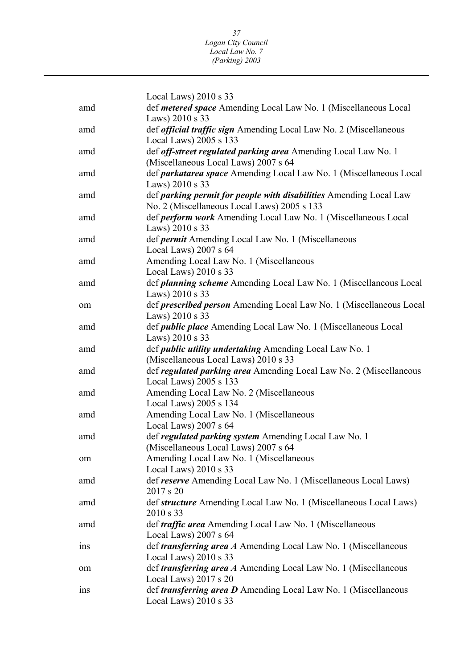|     | Local Laws) $2010 s 33$                                                  |
|-----|--------------------------------------------------------------------------|
| amd | def metered space Amending Local Law No. 1 (Miscellaneous Local          |
|     | Laws) 2010 s 33                                                          |
| amd | def <i>official traffic sign</i> Amending Local Law No. 2 (Miscellaneous |
|     | Local Laws) 2005 s 133                                                   |
| amd | def off-street regulated parking area Amending Local Law No. 1           |
|     | (Miscellaneous Local Laws) 2007 s 64                                     |
| amd | def parkatarea space Amending Local Law No. 1 (Miscellaneous Local       |
|     | Laws) 2010 s 33                                                          |
| amd | def parking permit for people with disabilities Amending Local Law       |
|     | No. 2 (Miscellaneous Local Laws) 2005 s 133                              |
| amd | def <i>perform work</i> Amending Local Law No. 1 (Miscellaneous Local    |
|     | Laws) 2010 s 33                                                          |
| amd | def permit Amending Local Law No. 1 (Miscellaneous                       |
|     | Local Laws) 2007 s 64                                                    |
| amd | Amending Local Law No. 1 (Miscellaneous                                  |
|     | Local Laws) 2010 s 33                                                    |
| amd | def <i>planning scheme</i> Amending Local Law No. 1 (Miscellaneous Local |
|     | Laws) 2010 s 33                                                          |
| om  | def prescribed person Amending Local Law No. 1 (Miscellaneous Local      |
|     | Laws) 2010 s 33                                                          |
| amd | def <i>public place</i> Amending Local Law No. 1 (Miscellaneous Local    |
|     | Laws) 2010 s 33                                                          |
| amd | def <i>public utility undertaking</i> Amending Local Law No. 1           |
|     | (Miscellaneous Local Laws) 2010 s 33                                     |
| amd | def regulated parking area Amending Local Law No. 2 (Miscellaneous       |
|     | Local Laws) 2005 s 133                                                   |
| amd | Amending Local Law No. 2 (Miscellaneous                                  |
|     | Local Laws) 2005 s 134                                                   |
| amd | Amending Local Law No. 1 (Miscellaneous                                  |
|     | Local Laws) 2007 s 64                                                    |
| amd | def regulated parking system Amending Local Law No. 1                    |
|     | (Miscellaneous Local Laws) 2007 s 64                                     |
| om  | Amending Local Law No. 1 (Miscellaneous                                  |
|     | Local Laws) 2010 s 33                                                    |
| amd | def reserve Amending Local Law No. 1 (Miscellaneous Local Laws)          |
|     | 2017 s 20                                                                |
| amd | def structure Amending Local Law No. 1 (Miscellaneous Local Laws)        |
|     | 2010 s 33                                                                |
| amd | def <i>traffic area</i> Amending Local Law No. 1 (Miscellaneous          |
|     | Local Laws) 2007 s 64                                                    |
| ins | def <i>transferring area A</i> Amending Local Law No. 1 (Miscellaneous   |
|     | Local Laws) $2010 s 33$                                                  |
| om  | def <i>transferring area A</i> Amending Local Law No. 1 (Miscellaneous   |
|     | Local Laws) $2017 s 20$                                                  |
| ins | def <i>transferring area D</i> Amending Local Law No. 1 (Miscellaneous   |
|     | Local Laws) 2010 s 33                                                    |